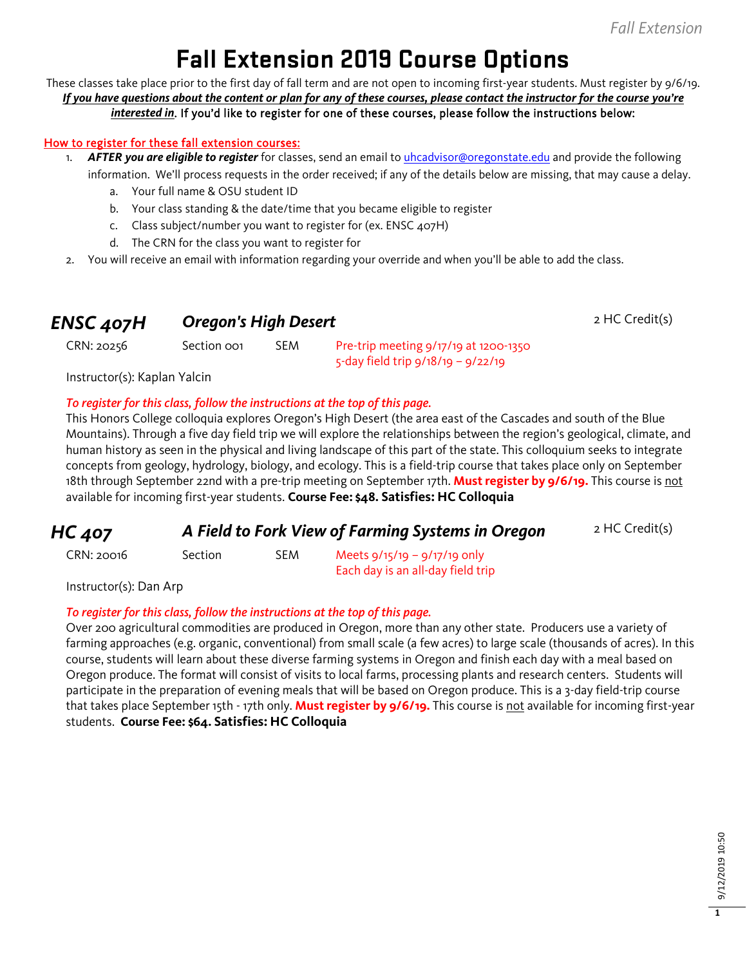# **Fall Extension 2019 Course Options**

These classes take place prior to the first day of fall term and are not open to incoming first-year students. Must register by 9/6/19. *If you have questions about the content or plan for any of these courses, please contact the instructor for the course you're interested in*. If you'd like to register for one of these courses, please follow the instructions below:

#### How to register for these fall extension courses:

- 1. *AFTER you are eligible to register* for classes, send an email to [uhcadvisor@oregonstate.edu](mailto:uhcadvisor@oregonstate.edu) and provide the following information. We'll process requests in the order received; if any of the details below are missing, that may cause a delay.
	- a. Your full name & OSU student ID
	- b. Your class standing & the date/time that you became eligible to register
	- c. Class subject/number you want to register for (ex. ENSC 407H)
	- d. The CRN for the class you want to register for
- 2. You will receive an email with information regarding your override and when you'll be able to add the class.

#### **ENSC 407H Oregon's High Desert** 2 HC Credit(s)

CRN: 20256 Section 001 SEM Pre-trip meeting 9/17/19 at 1200-1350 5-day field trip 9/18/19 – 9/22/19

Instructor(s): Kaplan Yalcin

#### *To register for this class, follow the instructions at the top of this page.*

This Honors College colloquia explores Oregon's High Desert (the area east of the Cascades and south of the Blue Mountains). Through a five day field trip we will explore the relationships between the region's geological, climate, and human history as seen in the physical and living landscape of this part of the state. This colloquium seeks to integrate concepts from geology, hydrology, biology, and ecology. This is a field-trip course that takes place only on September 18th through September 22nd with a pre-trip meeting on September 17th. **Must register by 9/6/19.** This course is not available for incoming first-year students. **Course Fee: \$48. Satisfies: HC Colloquia**

#### **HC 407 A Field to Fork View of Farming Systems in Oregon** 2 HC Credit(s)

 $CRN: 20016$  Section SEM Meets  $9/15/19 - 9/17/19$  only Each day is an all-day field trip

Instructor(s): Dan Arp

#### *To register for this class, follow the instructions at the top of this page.*

Over 200 agricultural commodities are produced in Oregon, more than any other state. Producers use a variety of farming approaches (e.g. organic, conventional) from small scale (a few acres) to large scale (thousands of acres). In this course, students will learn about these diverse farming systems in Oregon and finish each day with a meal based on Oregon produce. The format will consist of visits to local farms, processing plants and research centers. Students will participate in the preparation of evening meals that will be based on Oregon produce. This is a 3-day field-trip course that takes place September 15th - 17th only. **Must register by 9/6/19.** This course is not available for incoming first-year students. **Course Fee: \$64. Satisfies: HC Colloquia**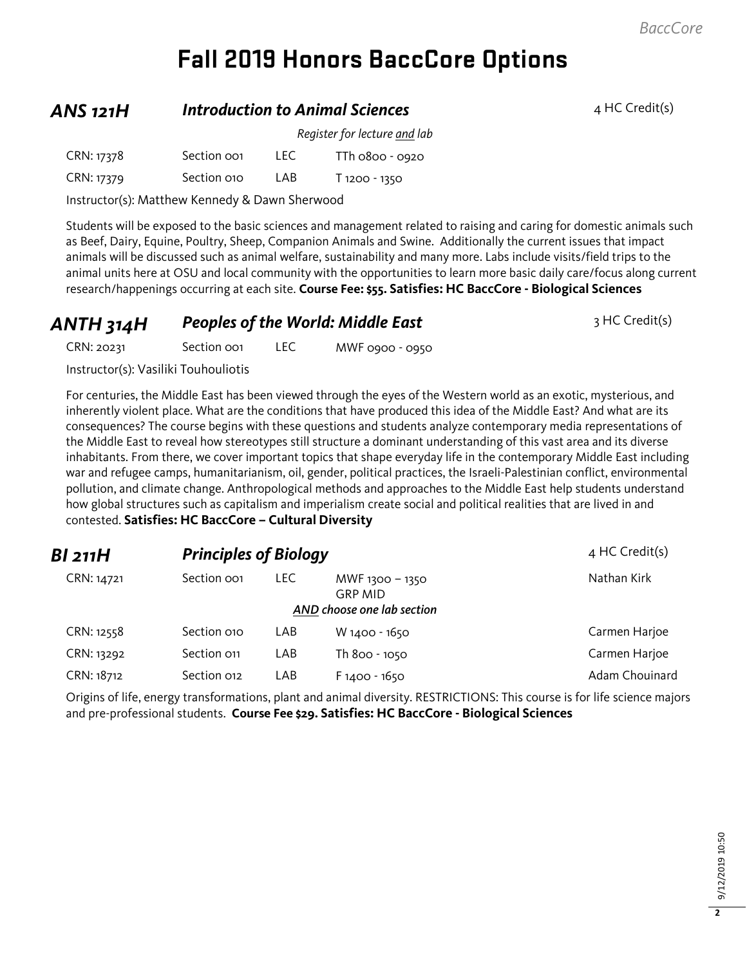# **Fall 2019 Honors BaccCore Options**

### **ANS 121H** *Introduction to Animal Sciences* 4 HC Credit(s)

|            |                         |      | Register for lecture and lab |
|------------|-------------------------|------|------------------------------|
| CRN: 17378 | Section oo <sub>1</sub> | TEC. | TTh 0800 - 0920              |
| CRN: 17379 | Section 010             | LAB  | T 1200 - 1350                |

Instructor(s): Matthew Kennedy & Dawn Sherwood

Students will be exposed to the basic sciences and management related to raising and caring for domestic animals such as Beef, Dairy, Equine, Poultry, Sheep, Companion Animals and Swine. Additionally the current issues that impact animals will be discussed such as animal welfare, sustainability and many more. Labs include visits/field trips to the animal units here at OSU and local community with the opportunities to learn more basic daily care/focus along current research/happenings occurring at each site. **Course Fee: \$55. Satisfies: HC BaccCore - Biological Sciences**

| ANTH 314H | <b>Peoples of the World: Middle East</b> | 3 HC Credit(s) |
|-----------|------------------------------------------|----------------|
|-----------|------------------------------------------|----------------|

CRN: 20231 Section 001 LEC MWF 0900 - 0950

Instructor(s): Vasiliki Touhouliotis

For centuries, the Middle East has been viewed through the eyes of the Western world as an exotic, mysterious, and inherently violent place. What are the conditions that have produced this idea of the Middle East? And what are its consequences? The course begins with these questions and students analyze contemporary media representations of the Middle East to reveal how stereotypes still structure a dominant understanding of this vast area and its diverse inhabitants. From there, we cover important topics that shape everyday life in the contemporary Middle East including war and refugee camps, humanitarianism, oil, gender, political practices, the Israeli-Palestinian conflict, environmental pollution, and climate change. Anthropological methods and approaches to the Middle East help students understand how global structures such as capitalism and imperialism create social and political realities that are lived in and contested. **Satisfies: HC BaccCore – Cultural Diversity**

| BI 211H    | <b>Principles of Biology</b> |      |                                                                 | $4$ HC Credit(s) |
|------------|------------------------------|------|-----------------------------------------------------------------|------------------|
| CRN: 14721 | Section oo1                  | LEC. | MWF 1300 - 1350<br><b>GRP MID</b><br>AND choose one lab section | Nathan Kirk      |
| CRN: 12558 | Section 010                  | LAB  | W 1400 - 1650                                                   | Carmen Harjoe    |
| CRN: 13292 | Section 011                  | LAB  | Th 800 - 1050                                                   | Carmen Harjoe    |
| CRN: 18712 | Section 012                  | LAB  | $F1400 - 1650$                                                  | Adam Chouinard   |

Origins of life, energy transformations, plant and animal diversity. RESTRICTIONS: This course is for life science majors and pre-professional students. **Course Fee \$29. Satisfies: HC BaccCore - Biological Sciences**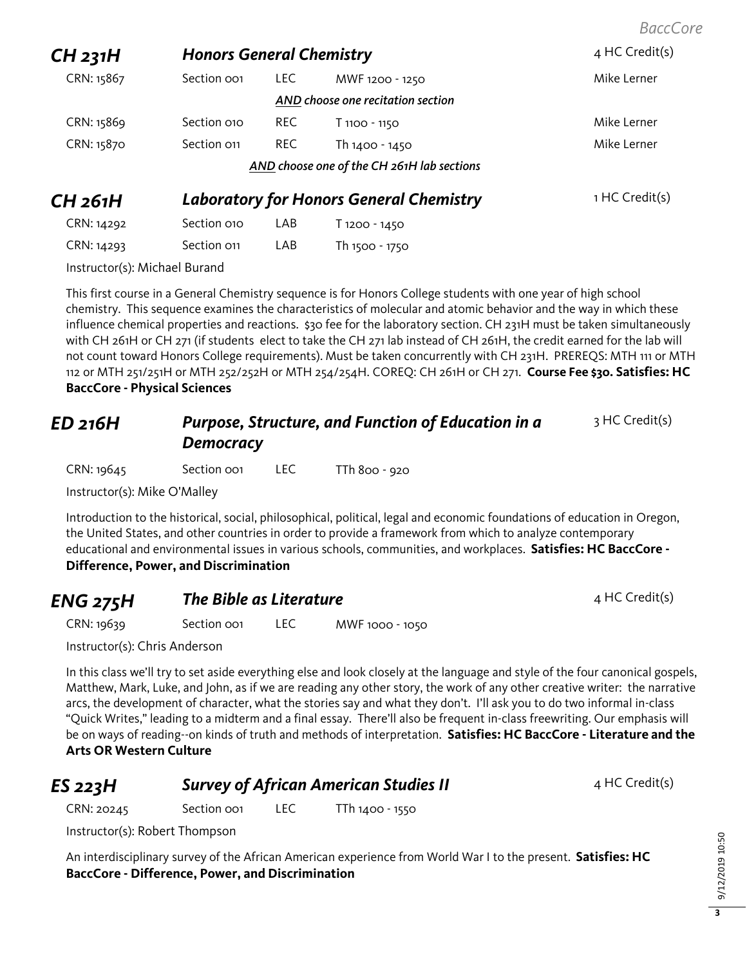**CH 231H Honors General Chemistry Added 4 HC Credit(s)** CRN: 15867 Section 001 LEC MWF 1200 - 1250 MWT 1200 Mike Lerner *AND choose one recitation section* CRN: 15869 Section 010 REC T 1100 - 1150 CRN: 15870 Section 011 REC Th 1400 - 1450 TH 300 Mike Lerner *AND choose one of the CH 261H lab sections* **CH 261H** *Laboratory for Honors General Chemistry* 1 HC Credit(s)

Instructor(s): Michael Burand

This first course in a General Chemistry sequence is for Honors College students with one year of high school chemistry. This sequence examines the characteristics of molecular and atomic behavior and the way in which these influence chemical properties and reactions. \$30 fee for the laboratory section. CH 231H must be taken simultaneously with CH 261H or CH 271 (if students elect to take the CH 271 lab instead of CH 261H, the credit earned for the lab will not count toward Honors College requirements). Must be taken concurrently with CH 231H. PREREQS: MTH 111 or MTH 112 or MTH 251/251H or MTH 252/252H or MTH 254/254H. COREQ: CH 261H or CH 271. **Course Fee \$30. Satisfies: HC BaccCore - Physical Sciences**

#### *ED 216H Purpose, Structure, and Function of Education in a Democracy* 3 HC Credit(s)

CRN: 19645 Section 001 LEC TTh 800 - 920

CRN: 14292 Section 010 LAB T 1200 - 1450 CRN: 14293 Section 011 LAB Th 1500 - 1750

Instructor(s): Mike O'Malley

Introduction to the historical, social, philosophical, political, legal and economic foundations of education in Oregon, the United States, and other countries in order to provide a framework from which to analyze contemporary educational and environmental issues in various schools, communities, and workplaces. **Satisfies: HC BaccCore - Difference, Power, and Discrimination**

| <b>ENG 275H</b> | The Bible as Literature |      |                 | 4 HC Credit(s) |
|-----------------|-------------------------|------|-----------------|----------------|
| CRN: 19639      | Section oo1             | LEC. | MWF 1000 - 1050 |                |

Instructor(s): Chris Anderson

In this class we'll try to set aside everything else and look closely at the language and style of the four canonical gospels, Matthew, Mark, Luke, and John, as if we are reading any other story, the work of any other creative writer: the narrative arcs, the development of character, what the stories say and what they don't. I'll ask you to do two informal in-class "Quick Writes," leading to a midterm and a final essay. There'll also be frequent in-class freewriting. Our emphasis will be on ways of reading--on kinds of truth and methods of interpretation. **Satisfies: HC BaccCore - Literature and the Arts OR Western Culture**

## **ES** 223H **Survey of African American Studies II** 4 HC Credit(s)

CRN: 20245 Section 001 LEC TTh 1400 - 1550

Instructor(s): Robert Thompson

An interdisciplinary survey of the African American experience from World War I to the present. **Satisfies: HC BaccCore - Difference, Power, and Discrimination**

*BaccCore*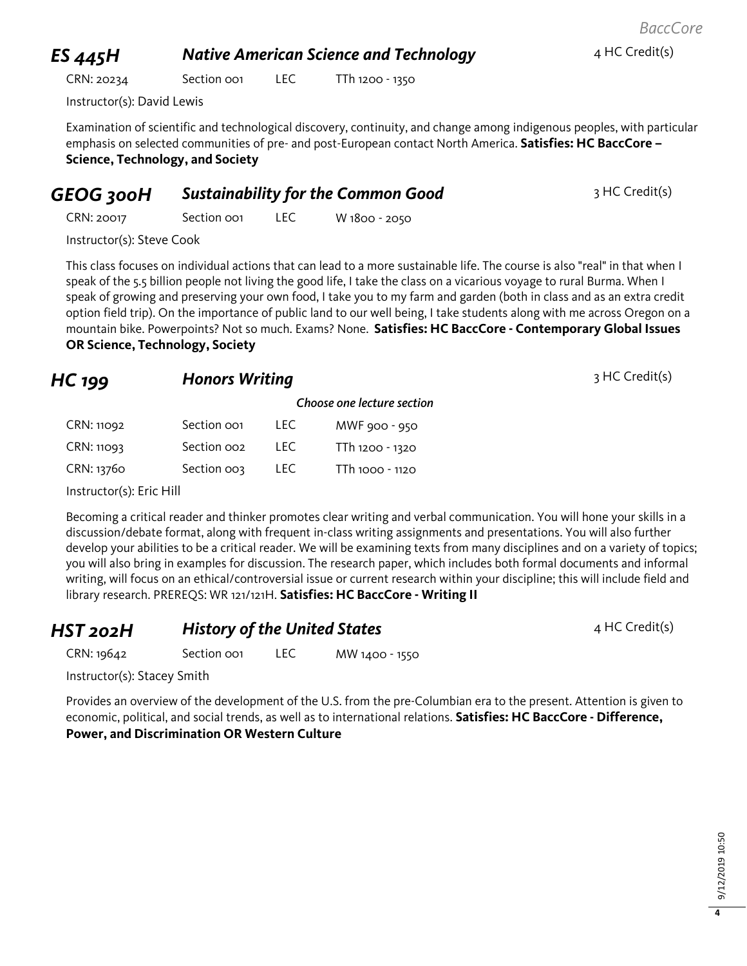# 9/12/2019 10:50 9/12/2019 10:50

**4**

# **ES** 445H **Native American Science and Technology** 4 HC Credit(s)

CRN: 20234 Section 001 LEC TTh 1200 - 1350

Instructor(s): David Lewis

Examination of scientific and technological discovery, continuity, and change among indigenous peoples, with particular emphasis on selected communities of pre- and post-European contact North America. **Satisfies: HC BaccCore – Science, Technology, and Society**

# **GEOG 300H Sustainability for the Common Good** 3 HC Credit(s)

CRN: 20017 Section 001 LEC W 1800 - 2050

Instructor(s): Steve Cook

This class focuses on individual actions that can lead to a more sustainable life. The course is also "real" in that when I speak of the 5.5 billion people not living the good life, I take the class on a vicarious voyage to rural Burma. When I speak of growing and preserving your own food, I take you to my farm and garden (both in class and as an extra credit option field trip). On the importance of public land to our well being, I take students along with me across Oregon on a mountain bike. Powerpoints? Not so much. Exams? None. **Satisfies: HC BaccCore - Contemporary Global Issues OR Science, Technology, Society**

| <b>Honors Writing</b><br>$HC$ 199 |                         |       |                            | 3 HC Credit(s) |
|-----------------------------------|-------------------------|-------|----------------------------|----------------|
|                                   |                         |       | Choose one lecture section |                |
| CRN: 11092                        | Section oo1             | LEC . | MWF 900 - 950              |                |
| CRN: 11093                        | Section oo <sub>2</sub> | LEC . | TTh 1200 - 1320            |                |
| CRN: 13760                        | Section 003             | LEC.  | TTh 1000 - 1120            |                |

Instructor(s): Eric Hill

Becoming a critical reader and thinker promotes clear writing and verbal communication. You will hone your skills in a discussion/debate format, along with frequent in-class writing assignments and presentations. You will also further develop your abilities to be a critical reader. We will be examining texts from many disciplines and on a variety of topics; you will also bring in examples for discussion. The research paper, which includes both formal documents and informal writing, will focus on an ethical/controversial issue or current research within your discipline; this will include field and library research. PREREQS: WR 121/121H. **Satisfies: HC BaccCore - Writing II**

**HST 202H History of the United States** 4 HC Credit(s) CRN: 19642 Section 001 LEC MW 1400 - 1550

Instructor(s): Stacey Smith

Provides an overview of the development of the U.S. from the pre-Columbian era to the present. Attention is given to economic, political, and social trends, as well as to international relations. **Satisfies: HC BaccCore - Difference, Power, and Discrimination OR Western Culture**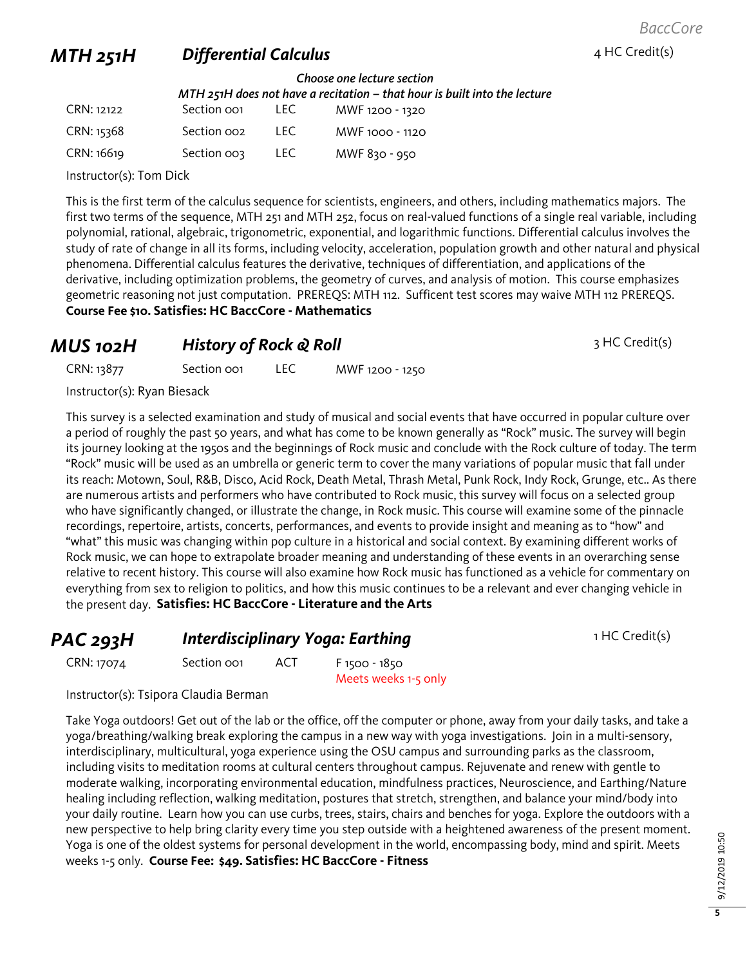## **MTH 251H Differential Calculus 1 AMTH 251H Differential Calculus 1**

#### *Choose one lecture section MTH 251H does not have a recitation – that hour is built into the lecture*

| CRN: 12122 | Section oo <sub>1</sub> | LEC. | MWF 1200 - 1320 |
|------------|-------------------------|------|-----------------|
| CRN: 15368 | Section oo <sub>2</sub> | TEC. | MWF 1000 - 1120 |
| CRN: 16619 | Section 003             | LEC. | MWF 830 - 950   |

Instructor(s): Tom Dick

This is the first term of the calculus sequence for scientists, engineers, and others, including mathematics majors. The first two terms of the sequence, MTH 251 and MTH 252, focus on real-valued functions of a single real variable, including polynomial, rational, algebraic, trigonometric, exponential, and logarithmic functions. Differential calculus involves the study of rate of change in all its forms, including velocity, acceleration, population growth and other natural and physical phenomena. Differential calculus features the derivative, techniques of differentiation, and applications of the derivative, including optimization problems, the geometry of curves, and analysis of motion. This course emphasizes geometric reasoning not just computation. PREREQS: MTH 112. Sufficent test scores may waive MTH 112 PREREQS. **Course Fee \$10. Satisfies: HC BaccCore - Mathematics**

#### *MUS* 102H *History of Rock & Roll* 3 HC Credit(s)

CRN: 13877 Section 001 LEC MWF 1200 - 1250

Instructor(s): Ryan Biesack

This survey is a selected examination and study of musical and social events that have occurred in popular culture over a period of roughly the past 50 years, and what has come to be known generally as "Rock" music. The survey will begin its journey looking at the 1950s and the beginnings of Rock music and conclude with the Rock culture of today. The term "Rock" music will be used as an umbrella or generic term to cover the many variations of popular music that fall under its reach: Motown, Soul, R&B, Disco, Acid Rock, Death Metal, Thrash Metal, Punk Rock, Indy Rock, Grunge, etc.. As there are numerous artists and performers who have contributed to Rock music, this survey will focus on a selected group who have significantly changed, or illustrate the change, in Rock music. This course will examine some of the pinnacle recordings, repertoire, artists, concerts, performances, and events to provide insight and meaning as to "how" and "what" this music was changing within pop culture in a historical and social context. By examining different works of Rock music, we can hope to extrapolate broader meaning and understanding of these events in an overarching sense relative to recent history. This course will also examine how Rock music has functioned as a vehicle for commentary on everything from sex to religion to politics, and how this music continues to be a relevant and ever changing vehicle in the present day. **Satisfies: HC BaccCore - Literature and the Arts**

**PAC 293H Interdisciplinary Yoga: Earthing** 1 HC Credit(s) CRN: 17074 Section 001 ACT F 1500 - 1850

Instructor(s): Tsipora Claudia Berman

Take Yoga outdoors! Get out of the lab or the office, off the computer or phone, away from your daily tasks, and take a yoga/breathing/walking break exploring the campus in a new way with yoga investigations. Join in a multi-sensory, interdisciplinary, multicultural, yoga experience using the OSU campus and surrounding parks as the classroom, including visits to meditation rooms at cultural centers throughout campus. Rejuvenate and renew with gentle to moderate walking, incorporating environmental education, mindfulness practices, Neuroscience, and Earthing/Nature healing including reflection, walking meditation, postures that stretch, strengthen, and balance your mind/body into your daily routine. Learn how you can use curbs, trees, stairs, chairs and benches for yoga. Explore the outdoors with a new perspective to help bring clarity every time you step outside with a heightened awareness of the present moment. Yoga is one of the oldest systems for personal development in the world, encompassing body, mind and spirit. Meets weeks 1-5 only. **Course Fee: \$49. Satisfies: HC BaccCore - Fitness**

Meets weeks 1-5 only

**5**

*BaccCore*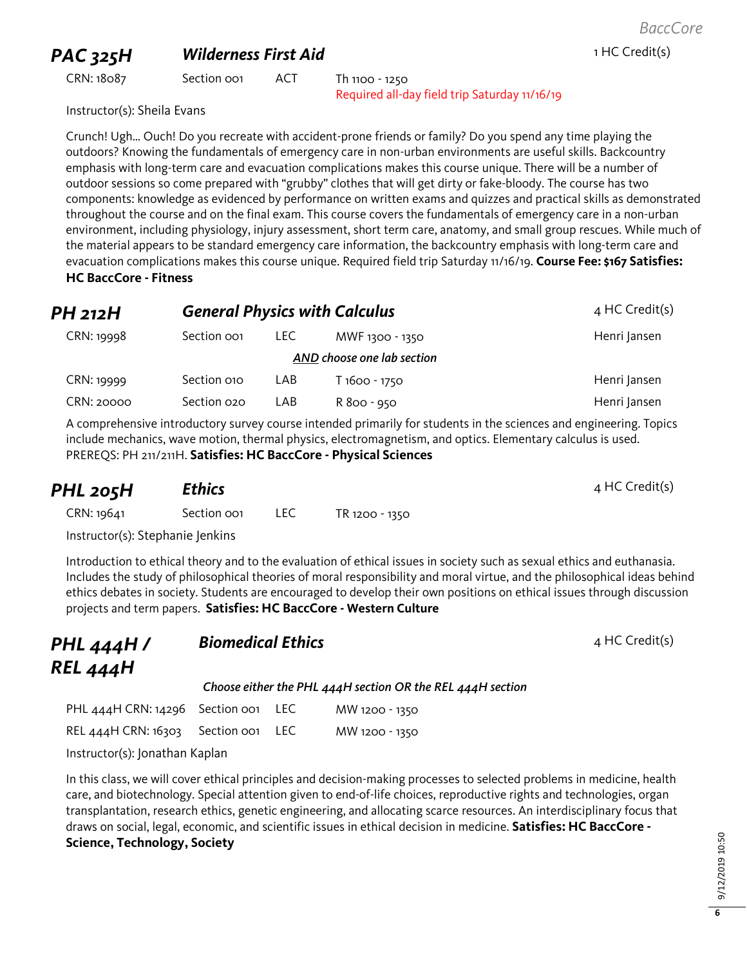### **PAC 325H Wilderness First Aid** 1 HC Credit(s)

CRN: 18087 Section 001 ACT Th 1100 - 1250 Required all-day field trip Saturday 11/16/19

Instructor(s): Sheila Evans

Crunch! Ugh… Ouch! Do you recreate with accident-prone friends or family? Do you spend any time playing the outdoors? Knowing the fundamentals of emergency care in non-urban environments are useful skills. Backcountry emphasis with long-term care and evacuation complications makes this course unique. There will be a number of outdoor sessions so come prepared with "grubby" clothes that will get dirty or fake-bloody. The course has two components: knowledge as evidenced by performance on written exams and quizzes and practical skills as demonstrated throughout the course and on the final exam. This course covers the fundamentals of emergency care in a non-urban environment, including physiology, injury assessment, short term care, anatomy, and small group rescues. While much of the material appears to be standard emergency care information, the backcountry emphasis with long-term care and evacuation complications makes this course unique. Required field trip Saturday 11/16/19. **Course Fee: \$167 Satisfies: HC BaccCore - Fitness**

| PH 212H    |                         |       | <b>General Physics with Calculus</b> | $4$ HC Credit(s) |
|------------|-------------------------|-------|--------------------------------------|------------------|
| CRN: 19998 | Section oo <sub>1</sub> | LEC . | MWF 1300 - 1350                      | Henri Jansen     |
|            |                         |       | AND choose one lab section           |                  |
| CRN: 19999 | Section 010             | LAB   | T 1600 - 1750                        | Henri Jansen     |
| CRN: 20000 | Section 020             | LAB   | R 800 - 950                          | Henri Jansen     |

A comprehensive introductory survey course intended primarily for students in the sciences and engineering. Topics include mechanics, wave motion, thermal physics, electromagnetism, and optics. Elementary calculus is used. PREREQS: PH 211/211H. **Satisfies: HC BaccCore - Physical Sciences**

| PHL 205H                         | <b>Ethics</b> |      |                | $4$ HC Credit(s) |
|----------------------------------|---------------|------|----------------|------------------|
| CRN: 19641                       | Section oo1   | LEC. | TR 1200 - 1350 |                  |
| Instructor(s): Stephanie Jenkins |               |      |                |                  |

Introduction to ethical theory and to the evaluation of ethical issues in society such as sexual ethics and euthanasia. Includes the study of philosophical theories of moral responsibility and moral virtue, and the philosophical ideas behind ethics debates in society. Students are encouraged to develop their own positions on ethical issues through discussion projects and term papers. **Satisfies: HC BaccCore - Western Culture**

| PHL 444H /<br>REL 444H                  | <b>Biomedical Ethics</b> |                                                            | $4$ HC Credit(s) |
|-----------------------------------------|--------------------------|------------------------------------------------------------|------------------|
|                                         |                          | Choose either the PHL 444H section OR the REL 444H section |                  |
| PHL $444$ H CRN: $14296$ Section oo LEC |                          | MW 1200 - 1350                                             |                  |

| REL 444H CRN: 16303 Section 001 LEC |  | MW 1200 - 1350 |
|-------------------------------------|--|----------------|
|                                     |  |                |

Instructor(s): Jonathan Kaplan

In this class, we will cover ethical principles and decision-making processes to selected problems in medicine, health care, and biotechnology. Special attention given to end-of-life choices, reproductive rights and technologies, organ transplantation, research ethics, genetic engineering, and allocating scarce resources. An interdisciplinary focus that draws on social, legal, economic, and scientific issues in ethical decision in medicine. **Satisfies: HC BaccCore - Science, Technology, Society**

**6**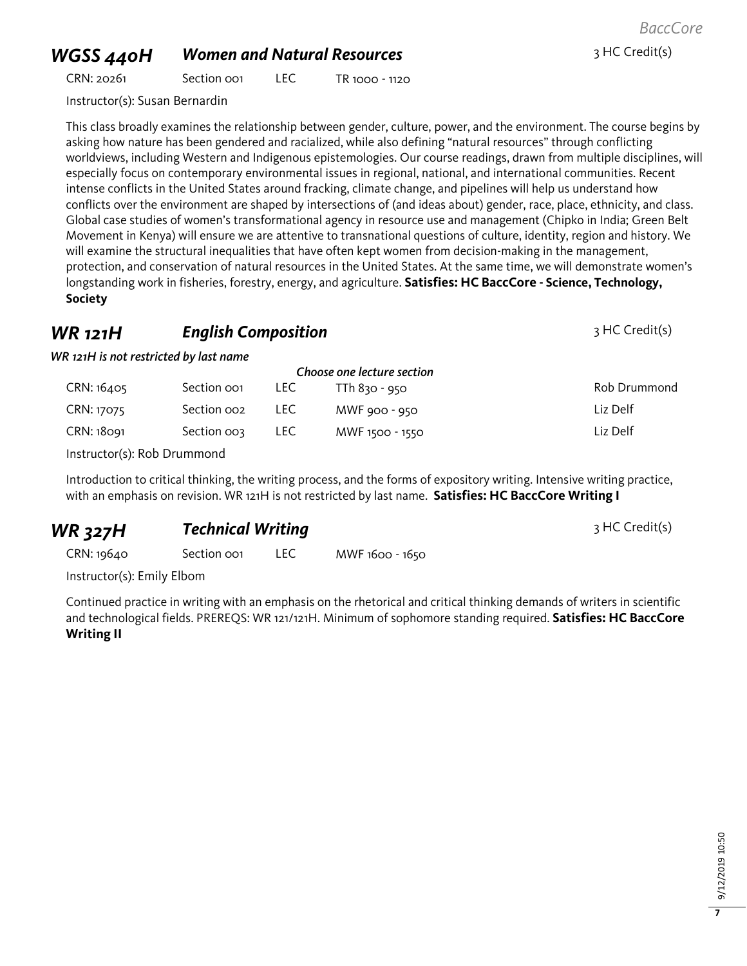# *WGSS 440H Women and Natural Resources* <sup>3</sup> HC Credit(s)

CRN: 20261 Section 001 LEC TR 1000 - 1120

Instructor(s): Susan Bernardin

This class broadly examines the relationship between gender, culture, power, and the environment. The course begins by asking how nature has been gendered and racialized, while also defining "natural resources" through conflicting worldviews, including Western and Indigenous epistemologies. Our course readings, drawn from multiple disciplines, will especially focus on contemporary environmental issues in regional, national, and international communities. Recent intense conflicts in the United States around fracking, climate change, and pipelines will help us understand how conflicts over the environment are shaped by intersections of (and ideas about) gender, race, place, ethnicity, and class. Global case studies of women's transformational agency in resource use and management (Chipko in India; Green Belt Movement in Kenya) will ensure we are attentive to transnational questions of culture, identity, region and history. We will examine the structural inequalities that have often kept women from decision-making in the management, protection, and conservation of natural resources in the United States. At the same time, we will demonstrate women's longstanding work in fisheries, forestry, energy, and agriculture. **Satisfies: HC BaccCore - Science, Technology, Society**

### **WR 121H English Composition English Composition 121H English Composition**

*WR 121H is not restricted by last name*

| Choose one lecture section |                         |      |                 |              |
|----------------------------|-------------------------|------|-----------------|--------------|
| CRN: 16405                 | Section oo1             | LEC. | TTh 830 - 950   | Rob Drummond |
| CRN: 17075                 | Section oo <sub>2</sub> | LEC. | MWF 900 - 950   | Liz Delf     |
| CRN: 18091                 | Section oos             | LEC. | MWF 1500 - 1550 | Liz Delf     |

Instructor(s): Rob Drummond

Introduction to critical thinking, the writing process, and the forms of expository writing. Intensive writing practice, with an emphasis on revision. WR 121H is not restricted by last name. **Satisfies: HC BaccCore Writing I**

| <b>WR 327H</b> | <b>Technical Writing</b> | 3 HC Credit(s) |
|----------------|--------------------------|----------------|
|                |                          |                |

CRN: 19640 Section 001 LEC MWF 1600 - 1650

Instructor(s): Emily Elbom

Continued practice in writing with an emphasis on the rhetorical and critical thinking demands of writers in scientific and technological fields. PREREQS: WR 121/121H. Minimum of sophomore standing required. **Satisfies: HC BaccCore Writing II**

*BaccCore*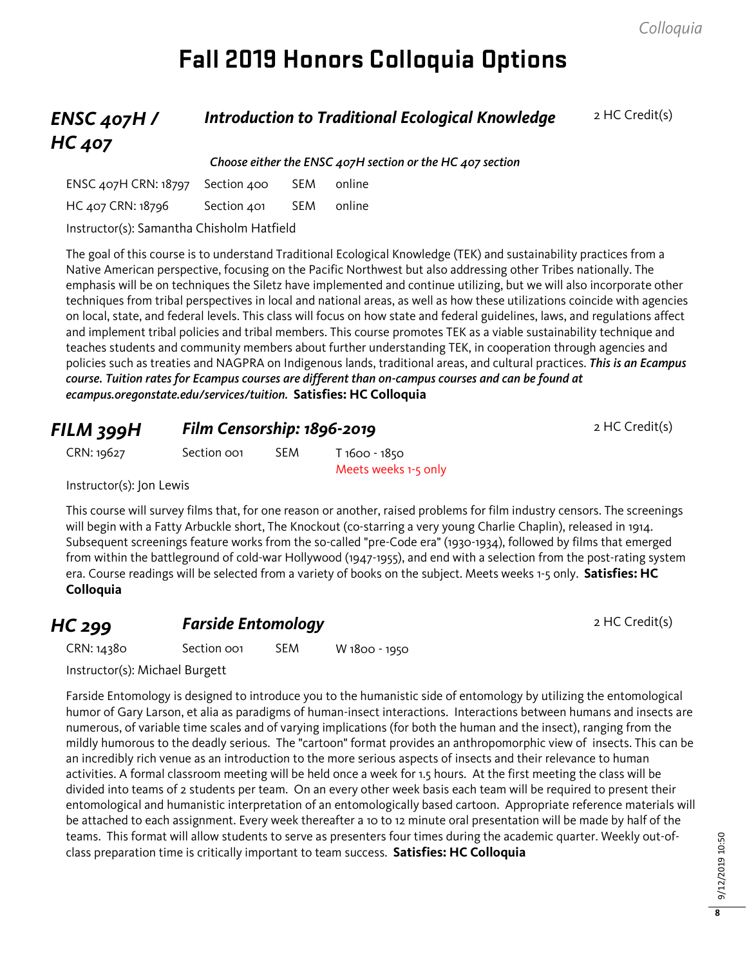# **Fall 2019 Honors Colloquia Options**

#### *ENSC 407H / HC 407* **Introduction to Traditional Ecological Knowledge** 2 HC Credit(s) *Choose either the ENSC 407H section or the HC 407 section*

| ENSC 407H CRN: 18797 Section 400                                                                                                                                                                                                                                                                            |             | SEM online |  |
|-------------------------------------------------------------------------------------------------------------------------------------------------------------------------------------------------------------------------------------------------------------------------------------------------------------|-------------|------------|--|
| HC 407 CRN: 18796                                                                                                                                                                                                                                                                                           | Section 401 | SEM online |  |
| $\mathbf{r}$ . $\mathbf{r}$ , $\mathbf{r}$ , $\mathbf{r}$ , $\mathbf{r}$ , $\mathbf{r}$ , $\mathbf{r}$ , $\mathbf{r}$ , $\mathbf{r}$ , $\mathbf{r}$ , $\mathbf{r}$ , $\mathbf{r}$ , $\mathbf{r}$ , $\mathbf{r}$ , $\mathbf{r}$ , $\mathbf{r}$ , $\mathbf{r}$ , $\mathbf{r}$ , $\mathbf{r}$ , $\mathbf{r}$ , |             |            |  |

Instructor(s): Samantha Chisholm Hatfield

The goal of this course is to understand Traditional Ecological Knowledge (TEK) and sustainability practices from a Native American perspective, focusing on the Pacific Northwest but also addressing other Tribes nationally. The emphasis will be on techniques the Siletz have implemented and continue utilizing, but we will also incorporate other techniques from tribal perspectives in local and national areas, as well as how these utilizations coincide with agencies on local, state, and federal levels. This class will focus on how state and federal guidelines, laws, and regulations affect and implement tribal policies and tribal members. This course promotes TEK as a viable sustainability technique and teaches students and community members about further understanding TEK, in cooperation through agencies and policies such as treaties and NAGPRA on Indigenous lands, traditional areas, and cultural practices. *This is an Ecampus course. Tuition rates for Ecampus courses are different than on-campus courses and can be found at ecampus.oregonstate.edu/services/tuition.* **Satisfies: HC Colloquia**

| FILM 399H                |             | Film Censorship: 1896-2019 |                                       |  |  |
|--------------------------|-------------|----------------------------|---------------------------------------|--|--|
| CRN: 19627               | Section oo1 | <b>SEM</b>                 | T 1600 - 1850<br>Meets weeks 1-5 only |  |  |
| Instructor(s): Jon Lewis |             |                            |                                       |  |  |

This course will survey films that, for one reason or another, raised problems for film industry censors. The screenings will begin with a Fatty Arbuckle short, The Knockout (co-starring a very young Charlie Chaplin), released in 1914. Subsequent screenings feature works from the so-called "pre-Code era" (1930-1934), followed by films that emerged from within the battleground of cold-war Hollywood (1947-1955), and end with a selection from the post-rating system era. Course readings will be selected from a variety of books on the subject. Meets weeks 1-5 only. **Satisfies: HC Colloquia**

## **HC 299 Farside Entomology Properties All 2 HC Credit(s)**

| CRN: 14380 | Section oo1 | <b>SEM</b> | W 1800 - 1950 |
|------------|-------------|------------|---------------|
|            |             |            |               |

Instructor(s): Michael Burgett

Farside Entomology is designed to introduce you to the humanistic side of entomology by utilizing the entomological humor of Gary Larson, et alia as paradigms of human-insect interactions. Interactions between humans and insects are numerous, of variable time scales and of varying implications (for both the human and the insect), ranging from the mildly humorous to the deadly serious. The "cartoon" format provides an anthropomorphic view of insects. This can be an incredibly rich venue as an introduction to the more serious aspects of insects and their relevance to human activities. A formal classroom meeting will be held once a week for 1.5 hours. At the first meeting the class will be divided into teams of 2 students per team. On an every other week basis each team will be required to present their entomological and humanistic interpretation of an entomologically based cartoon. Appropriate reference materials will be attached to each assignment. Every week thereafter a 10 to 12 minute oral presentation will be made by half of the teams. This format will allow students to serve as presenters four times during the academic quarter. Weekly out-ofclass preparation time is critically important to team success. **Satisfies: HC Colloquia**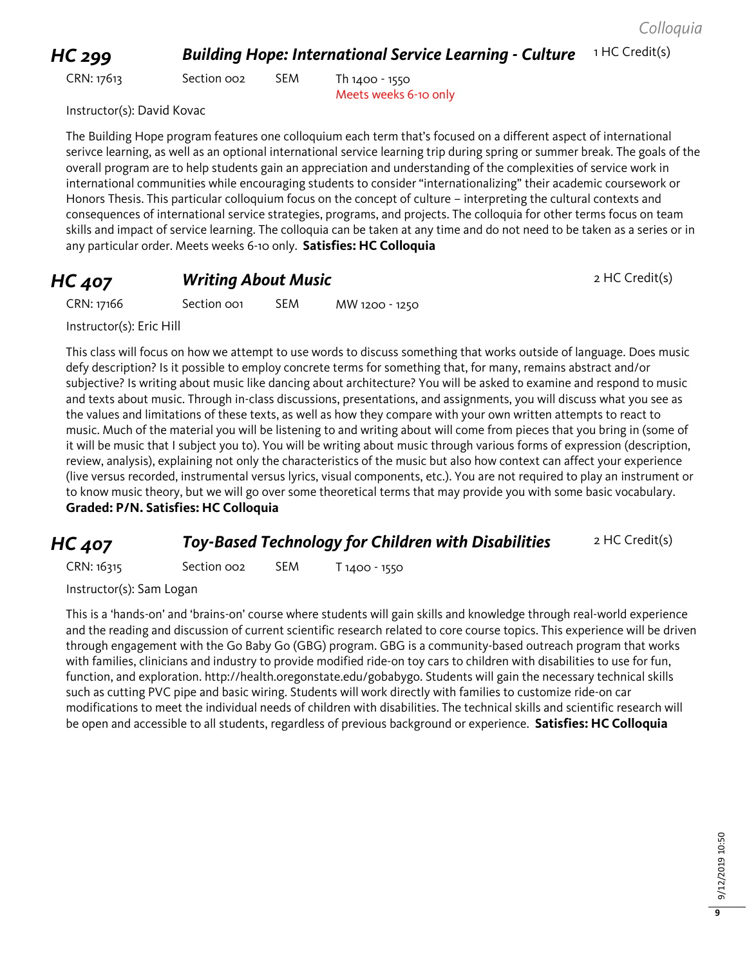#### *HC 299 Building Hope: International Service Learning - Culture* <sup>1</sup> HC Credit(s)

CRN: 17613 Section 002 SEM Th 1400 - 1550

Meets weeks 6-10 only

Instructor(s): David Kovac

The Building Hope program features one colloquium each term that's focused on a different aspect of international serivce learning, as well as an optional international service learning trip during spring or summer break. The goals of the overall program are to help students gain an appreciation and understanding of the complexities of service work in international communities while encouraging students to consider "internationalizing" their academic coursework or Honors Thesis. This particular colloquium focus on the concept of culture – interpreting the cultural contexts and consequences of international service strategies, programs, and projects. The colloquia for other terms focus on team skills and impact of service learning. The colloquia can be taken at any time and do not need to be taken as a series or in any particular order. Meets weeks 6-10 only. **Satisfies: HC Colloquia**

### **HC 407 Writing About Music Property Apple 2 HC Credit(s)**

CRN: 17166 Section 001 SEM MW 1200 - 1250

Instructor(s): Eric Hill

This class will focus on how we attempt to use words to discuss something that works outside of language. Does music defy description? Is it possible to employ concrete terms for something that, for many, remains abstract and/or subjective? Is writing about music like dancing about architecture? You will be asked to examine and respond to music and texts about music. Through in-class discussions, presentations, and assignments, you will discuss what you see as the values and limitations of these texts, as well as how they compare with your own written attempts to react to music. Much of the material you will be listening to and writing about will come from pieces that you bring in (some of it will be music that I subject you to). You will be writing about music through various forms of expression (description, review, analysis), explaining not only the characteristics of the music but also how context can affect your experience (live versus recorded, instrumental versus lyrics, visual components, etc.). You are not required to play an instrument or to know music theory, but we will go over some theoretical terms that may provide you with some basic vocabulary. **Graded: P/N. Satisfies: HC Colloquia**

#### **HC 407 Toy-Based Technology for Children with Disabilities** 2 HC Credit(s)

CRN: 16315 Section 002 SEM T 1400 - 1550

Instructor(s): Sam Logan

This is a 'hands-on' and 'brains-on' course where students will gain skills and knowledge through real-world experience and the reading and discussion of current scientific research related to core course topics. This experience will be driven through engagement with the Go Baby Go (GBG) program. GBG is a community-based outreach program that works with families, clinicians and industry to provide modified ride-on toy cars to children with disabilities to use for fun, function, and exploration. http://health.oregonstate.edu/gobabygo. Students will gain the necessary technical skills such as cutting PVC pipe and basic wiring. Students will work directly with families to customize ride-on car modifications to meet the individual needs of children with disabilities. The technical skills and scientific research will be open and accessible to all students, regardless of previous background or experience. **Satisfies: HC Colloquia**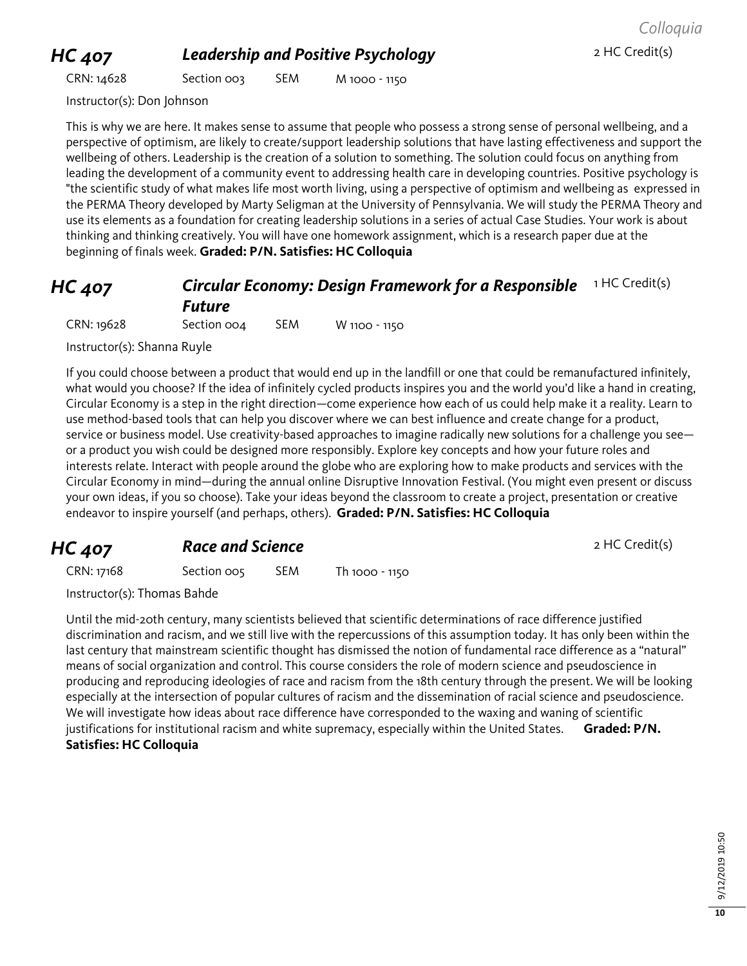# **HC 407 Leadership and Positive Psychology 2 HC Credit(s)**

CRN: 14628 Section 003 SEM M 1000 - 1150

Instructor(s): Don Johnson

This is why we are here. It makes sense to assume that people who possess a strong sense of personal wellbeing, and a perspective of optimism, are likely to create/support leadership solutions that have lasting effectiveness and support the wellbeing of others. Leadership is the creation of a solution to something. The solution could focus on anything from leading the development of a community event to addressing health care in developing countries. Positive psychology is "the scientific study of what makes life most worth living, using a perspective of optimism and wellbeing as expressed in the PERMA Theory developed by Marty Seligman at the University of Pennsylvania. We will study the PERMA Theory and use its elements as a foundation for creating leadership solutions in a series of actual Case Studies. Your work is about thinking and thinking creatively. You will have one homework assignment, which is a research paper due at the beginning of finals week. **Graded: P/N. Satisfies: HC Colloquia**

## *HC 407 Circular Economy: Design Framework for a Responsible*  1 HC Credit(s) *Future*

CRN: 19628 Section 004 SEM W 1100 - 1150

Instructor(s): Shanna Ruyle

If you could choose between a product that would end up in the landfill or one that could be remanufactured infinitely, what would you choose? If the idea of infinitely cycled products inspires you and the world you'd like a hand in creating, Circular Economy is a step in the right direction—come experience how each of us could help make it a reality. Learn to use method-based tools that can help you discover where we can best influence and create change for a product, service or business model. Use creativity-based approaches to imagine radically new solutions for a challenge you see or a product you wish could be designed more responsibly. Explore key concepts and how your future roles and interests relate. Interact with people around the globe who are exploring how to make products and services with the Circular Economy in mind—during the annual online Disruptive Innovation Festival. (You might even present or discuss your own ideas, if you so choose). Take your ideas beyond the classroom to create a project, presentation or creative endeavor to inspire yourself (and perhaps, others). **Graded: P/N. Satisfies: HC Colloquia**

#### **HC 407 Race and Science** 2 HC Credit(s)

CRN: 17168 Section 005 SEM Th 1000 - 1150

Instructor(s): Thomas Bahde

Until the mid-20th century, many scientists believed that scientific determinations of race difference justified discrimination and racism, and we still live with the repercussions of this assumption today. It has only been within the last century that mainstream scientific thought has dismissed the notion of fundamental race difference as a "natural" means of social organization and control. This course considers the role of modern science and pseudoscience in producing and reproducing ideologies of race and racism from the 18th century through the present. We will be looking especially at the intersection of popular cultures of racism and the dissemination of racial science and pseudoscience. We will investigate how ideas about race difference have corresponded to the waxing and waning of scientific justifications for institutional racism and white supremacy, especially within the United States. **Graded: P/N. Satisfies: HC Colloquia**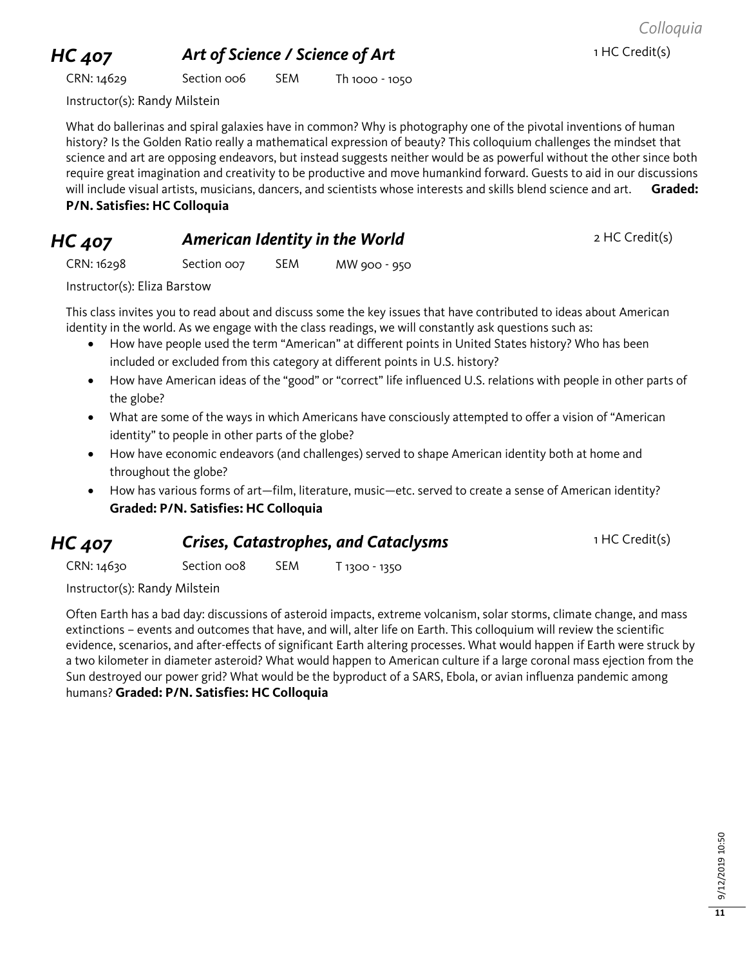# **HC 407 Art of Science / Science of Art 1 HC Credit(s)**

*Colloquia*

CRN: 14629 Section 006 SEM Th 1000 - 1050

Instructor(s): Randy Milstein

What do ballerinas and spiral galaxies have in common? Why is photography one of the pivotal inventions of human history? Is the Golden Ratio really a mathematical expression of beauty? This colloquium challenges the mindset that science and art are opposing endeavors, but instead suggests neither would be as powerful without the other since both require great imagination and creativity to be productive and move humankind forward. Guests to aid in our discussions will include visual artists, musicians, dancers, and scientists whose interests and skills blend science and art. **Graded: P/N. Satisfies: HC Colloquia**

### **HC 407 American Identity in the World** 2 HC Credit(s)

CRN: 16298 Section 007 SEM MW 900 - 950

Instructor(s): Eliza Barstow

This class invites you to read about and discuss some the key issues that have contributed to ideas about American identity in the world. As we engage with the class readings, we will constantly ask questions such as:

- How have people used the term "American" at different points in United States history? Who has been included or excluded from this category at different points in U.S. history?
- How have American ideas of the "good" or "correct" life influenced U.S. relations with people in other parts of the globe?
- What are some of the ways in which Americans have consciously attempted to offer a vision of "American identity" to people in other parts of the globe?
- How have economic endeavors (and challenges) served to shape American identity both at home and throughout the globe?
- How has various forms of art—film, literature, music—etc. served to create a sense of American identity? **Graded: P/N. Satisfies: HC Colloquia**

#### **HC 407 Crises, Catastrophes, and Cataclysms 1 HC Credit(s)**

CRN: 14630 Section 008 SEM T 1300 - 1350

Instructor(s): Randy Milstein

Often Earth has a bad day: discussions of asteroid impacts, extreme volcanism, solar storms, climate change, and mass extinctions – events and outcomes that have, and will, alter life on Earth. This colloquium will review the scientific evidence, scenarios, and after-effects of significant Earth altering processes. What would happen if Earth were struck by a two kilometer in diameter asteroid? What would happen to American culture if a large coronal mass ejection from the Sun destroyed our power grid? What would be the byproduct of a SARS, Ebola, or avian influenza pandemic among humans? **Graded: P/N. Satisfies: HC Colloquia**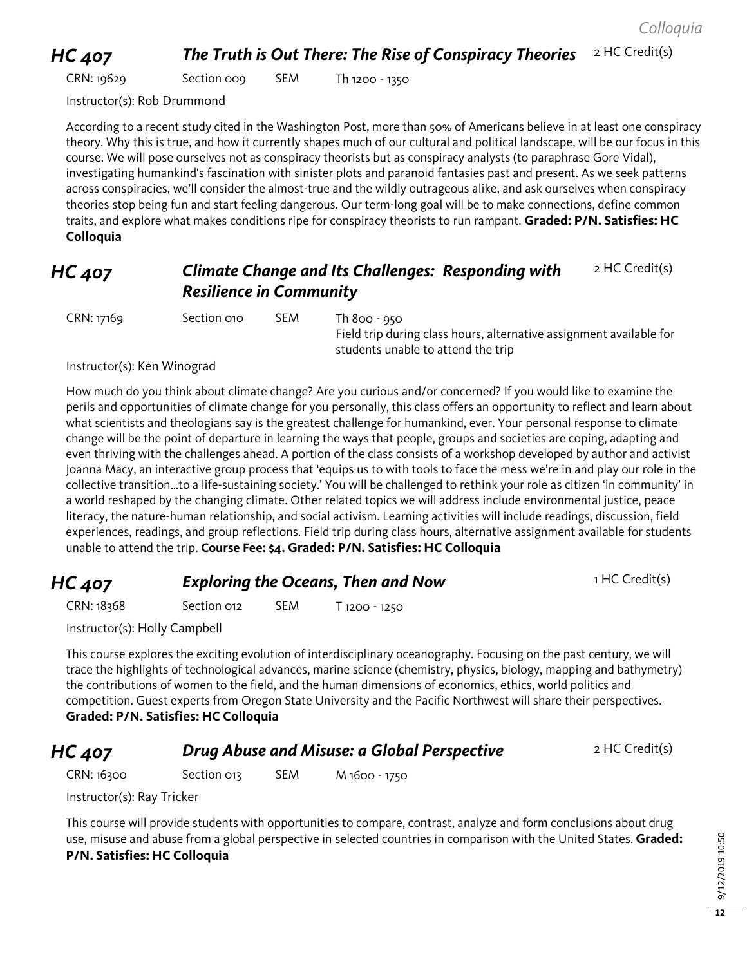# *HC 407* **The Truth is Out There: The Rise of Conspiracy Theories** 2 HC Credit(s)

CRN: 19629 Section 009 SEM Th 1200 - 1350

Instructor(s): Rob Drummond

According to a recent study cited in the Washington Post, more than 50% of Americans believe in at least one conspiracy theory. Why this is true, and how it currently shapes much of our cultural and political landscape, will be our focus in this course. We will pose ourselves not as conspiracy theorists but as conspiracy analysts (to paraphrase Gore Vidal), investigating humankind's fascination with sinister plots and paranoid fantasies past and present. As we seek patterns across conspiracies, we'll consider the almost-true and the wildly outrageous alike, and ask ourselves when conspiracy theories stop being fun and start feeling dangerous. Our term-long goal will be to make connections, define common traits, and explore what makes conditions ripe for conspiracy theorists to run rampant. **Graded: P/N. Satisfies: HC Colloquia**

#### *HC 407 Climate Change and Its Challenges: Responding with Resilience in Community* 2 HC Credit(s)

CRN: 17169 Section 010 SEM Th 800 - 950

Field trip during class hours, alternative assignment available for students unable to attend the trip

Instructor(s): Ken Winograd

How much do you think about climate change? Are you curious and/or concerned? If you would like to examine the perils and opportunities of climate change for you personally, this class offers an opportunity to reflect and learn about what scientists and theologians say is the greatest challenge for humankind, ever. Your personal response to climate change will be the point of departure in learning the ways that people, groups and societies are coping, adapting and even thriving with the challenges ahead. A portion of the class consists of a workshop developed by author and activist Joanna Macy, an interactive group process that 'equips us to with tools to face the mess we're in and play our role in the collective transition…to a life-sustaining society.' You will be challenged to rethink your role as citizen 'in community' in a world reshaped by the changing climate. Other related topics we will address include environmental justice, peace literacy, the nature-human relationship, and social activism. Learning activities will include readings, discussion, field experiences, readings, and group reflections. Field trip during class hours, alternative assignment available for students unable to attend the trip. **Course Fee: \$4. Graded: P/N. Satisfies: HC Colloquia**

| <b>HC 407</b> | <b>Exploring the Oceans, Then and Now</b> | 1 HC Credit(s) |
|---------------|-------------------------------------------|----------------|
|               |                                           |                |

CRN: 18368 Section 012 SEM T 1200 - 1250

Instructor(s): Holly Campbell

This course explores the exciting evolution of interdisciplinary oceanography. Focusing on the past century, we will trace the highlights of technological advances, marine science (chemistry, physics, biology, mapping and bathymetry) the contributions of women to the field, and the human dimensions of economics, ethics, world politics and competition. Guest experts from Oregon State University and the Pacific Northwest will share their perspectives. **Graded: P/N. Satisfies: HC Colloquia**

## **HC 407 Drug Abuse and Misuse: a Global Perspective** 2 HC Credit(s)

CRN: 16300 Section 013 SEM M 1600 - 1750

Instructor(s): Ray Tricker

This course will provide students with opportunities to compare, contrast, analyze and form conclusions about drug use, misuse and abuse from a global perspective in selected countries in comparison with the United States. **Graded: P/N. Satisfies: HC Colloquia**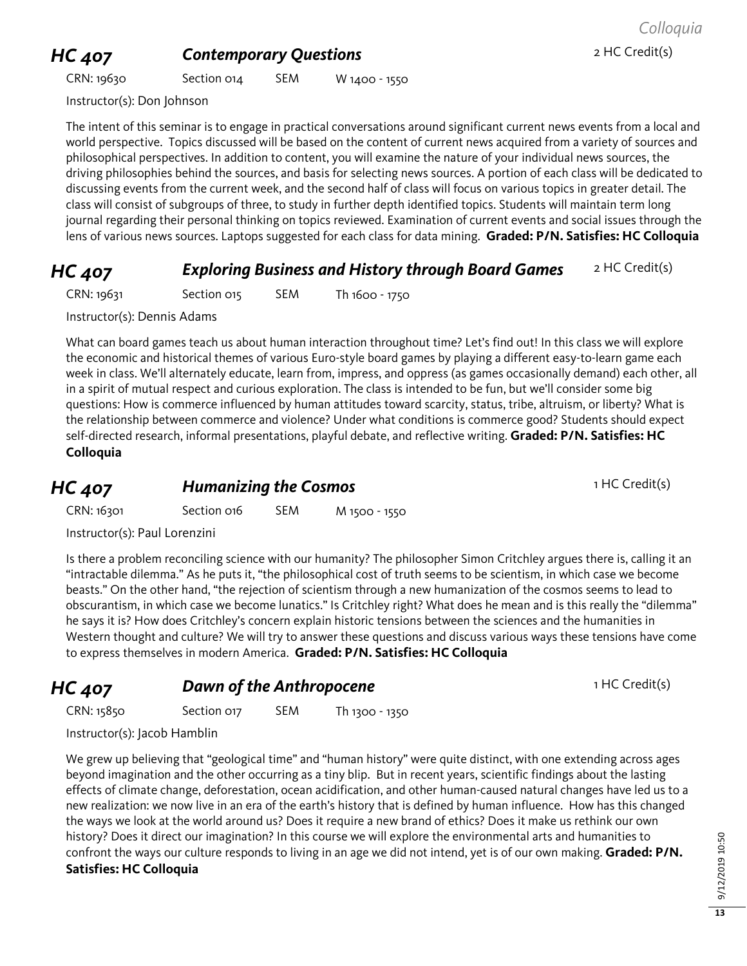# **HC 407 Contemporary Questions** 2 HC Credit(s)

CRN: 19630 Section 014 SEM W 1400 - 1550

Instructor(s): Don Johnson

The intent of this seminar is to engage in practical conversations around significant current news events from a local and world perspective. Topics discussed will be based on the content of current news acquired from a variety of sources and philosophical perspectives. In addition to content, you will examine the nature of your individual news sources, the driving philosophies behind the sources, and basis for selecting news sources. A portion of each class will be dedicated to discussing events from the current week, and the second half of class will focus on various topics in greater detail. The class will consist of subgroups of three, to study in further depth identified topics. Students will maintain term long journal regarding their personal thinking on topics reviewed. Examination of current events and social issues through the lens of various news sources. Laptops suggested for each class for data mining. **Graded: P/N. Satisfies: HC Colloquia**

#### **HC 407 Exploring Business and History through Board Games** 2 HC Credit(s)

CRN: 19631 Section 015 SEM Th 1600 - 1750

Instructor(s): Dennis Adams

What can board games teach us about human interaction throughout time? Let's find out! In this class we will explore the economic and historical themes of various Euro-style board games by playing a different easy-to-learn game each week in class. We'll alternately educate, learn from, impress, and oppress (as games occasionally demand) each other, all in a spirit of mutual respect and curious exploration. The class is intended to be fun, but we'll consider some big questions: How is commerce influenced by human attitudes toward scarcity, status, tribe, altruism, or liberty? What is the relationship between commerce and violence? Under what conditions is commerce good? Students should expect self-directed research, informal presentations, playful debate, and reflective writing. **Graded: P/N. Satisfies: HC Colloquia**

**HC 407 Humanizing the Cosmos 1 HC Credit(s)** 

CRN: 16301 Section 016 SEM M 1500 - 1550

Instructor(s): Paul Lorenzini

Is there a problem reconciling science with our humanity? The philosopher Simon Critchley argues there is, calling it an "intractable dilemma." As he puts it, "the philosophical cost of truth seems to be scientism, in which case we become beasts." On the other hand, "the rejection of scientism through a new humanization of the cosmos seems to lead to obscurantism, in which case we become lunatics." Is Critchley right? What does he mean and is this really the "dilemma" he says it is? How does Critchley's concern explain historic tensions between the sciences and the humanities in Western thought and culture? We will try to answer these questions and discuss various ways these tensions have come to express themselves in modern America. **Graded: P/N. Satisfies: HC Colloquia**

**HC 407 Dawn of the Anthropocene** 1 HC Credit(s)

| CRN: 15850 | Section 017 | <b>SEM</b> | Th 1300 - 1350 |
|------------|-------------|------------|----------------|
|------------|-------------|------------|----------------|

Instructor(s): Jacob Hamblin

We grew up believing that "geological time" and "human history" were quite distinct, with one extending across ages beyond imagination and the other occurring as a tiny blip. But in recent years, scientific findings about the lasting effects of climate change, deforestation, ocean acidification, and other human-caused natural changes have led us to a new realization: we now live in an era of the earth's history that is defined by human influence. How has this changed the ways we look at the world around us? Does it require a new brand of ethics? Does it make us rethink our own history? Does it direct our imagination? In this course we will explore the environmental arts and humanities to confront the ways our culture responds to living in an age we did not intend, yet is of our own making. **Graded: P/N. Satisfies: HC Colloquia**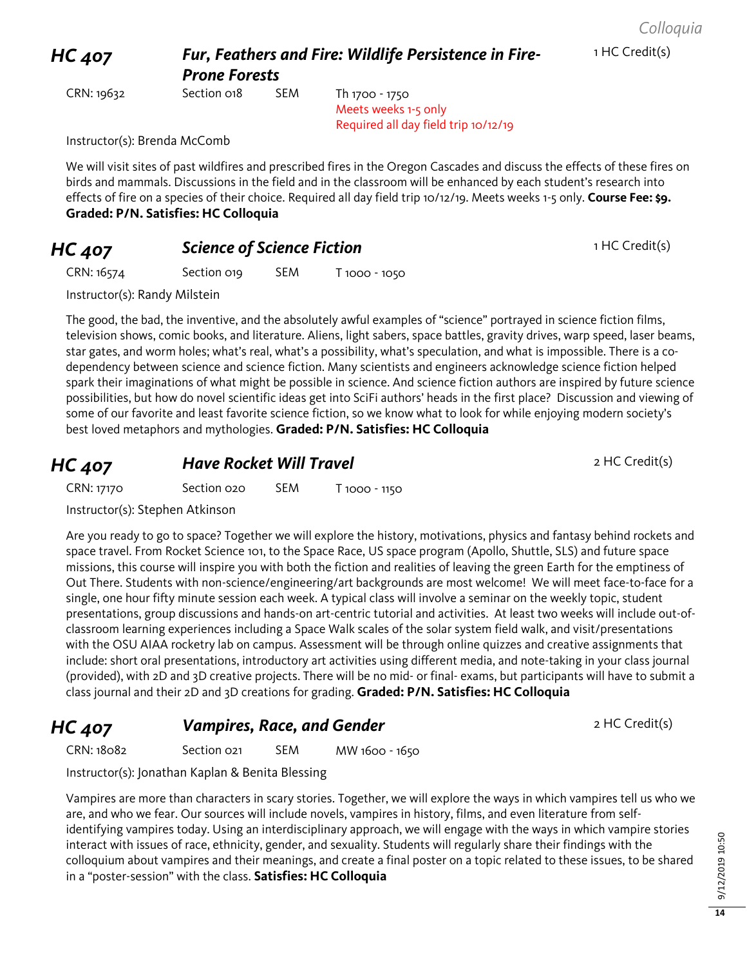1 HC Credit(s)

#### *HC 407 Fur, Feathers and Fire: Wildlife Persistence in Fire-Prone Forests*

CRN: 19632 Section 018 SEM Th 1700 - 1750

Meets weeks 1-5 only Required all day field trip 10/12/19

Instructor(s): Brenda McComb

We will visit sites of past wildfires and prescribed fires in the Oregon Cascades and discuss the effects of these fires on birds and mammals. Discussions in the field and in the classroom will be enhanced by each student's research into effects of fire on a species of their choice. Required all day field trip 10/12/19. Meets weeks 1-5 only. **Course Fee: \$9. Graded: P/N. Satisfies: HC Colloquia**

## **HC 407 Science of Science Fiction 1 HC Credit(s)**

CRN: 16574 Section 019 SEM T 1000 - 1050

Instructor(s): Randy Milstein

The good, the bad, the inventive, and the absolutely awful examples of "science" portrayed in science fiction films, television shows, comic books, and literature. Aliens, light sabers, space battles, gravity drives, warp speed, laser beams, star gates, and worm holes; what's real, what's a possibility, what's speculation, and what is impossible. There is a codependency between science and science fiction. Many scientists and engineers acknowledge science fiction helped spark their imaginations of what might be possible in science. And science fiction authors are inspired by future science possibilities, but how do novel scientific ideas get into SciFi authors' heads in the first place? Discussion and viewing of some of our favorite and least favorite science fiction, so we know what to look for while enjoying modern society's best loved metaphors and mythologies. **Graded: P/N. Satisfies: HC Colloquia**

## **HC 407 Have Rocket Will Travel** *PHC 407* **HC Credit(s)**

| CRN: 17170 | Section 020 | <b>SEM</b> | T 1000 - 1150 |
|------------|-------------|------------|---------------|
|            |             |            |               |

Instructor(s): Stephen Atkinson

Are you ready to go to space? Together we will explore the history, motivations, physics and fantasy behind rockets and space travel. From Rocket Science 101, to the Space Race, US space program (Apollo, Shuttle, SLS) and future space missions, this course will inspire you with both the fiction and realities of leaving the green Earth for the emptiness of Out There. Students with non-science/engineering/art backgrounds are most welcome! We will meet face-to-face for a single, one hour fifty minute session each week. A typical class will involve a seminar on the weekly topic, student presentations, group discussions and hands-on art-centric tutorial and activities. At least two weeks will include out-ofclassroom learning experiences including a Space Walk scales of the solar system field walk, and visit/presentations with the OSU AIAA rocketry lab on campus. Assessment will be through online quizzes and creative assignments that include: short oral presentations, introductory art activities using different media, and note-taking in your class journal (provided), with 2D and 3D creative projects. There will be no mid- or final- exams, but participants will have to submit a class journal and their 2D and 3D creations for grading. **Graded: P/N. Satisfies: HC Colloquia**

**HC 407 Vampires, Race, and Gender 2 HC Credit(s)** 

CRN: 18082 Section 021 SEM MW 1600 - 1650

Instructor(s): Jonathan Kaplan & Benita Blessing

Vampires are more than characters in scary stories. Together, we will explore the ways in which vampires tell us who we are, and who we fear. Our sources will include novels, vampires in history, films, and even literature from selfidentifying vampires today. Using an interdisciplinary approach, we will engage with the ways in which vampire stories interact with issues of race, ethnicity, gender, and sexuality. Students will regularly share their findings with the colloquium about vampires and their meanings, and create a final poster on a topic related to these issues, to be shared in a "poster-session" with the class. **Satisfies: HC Colloquia**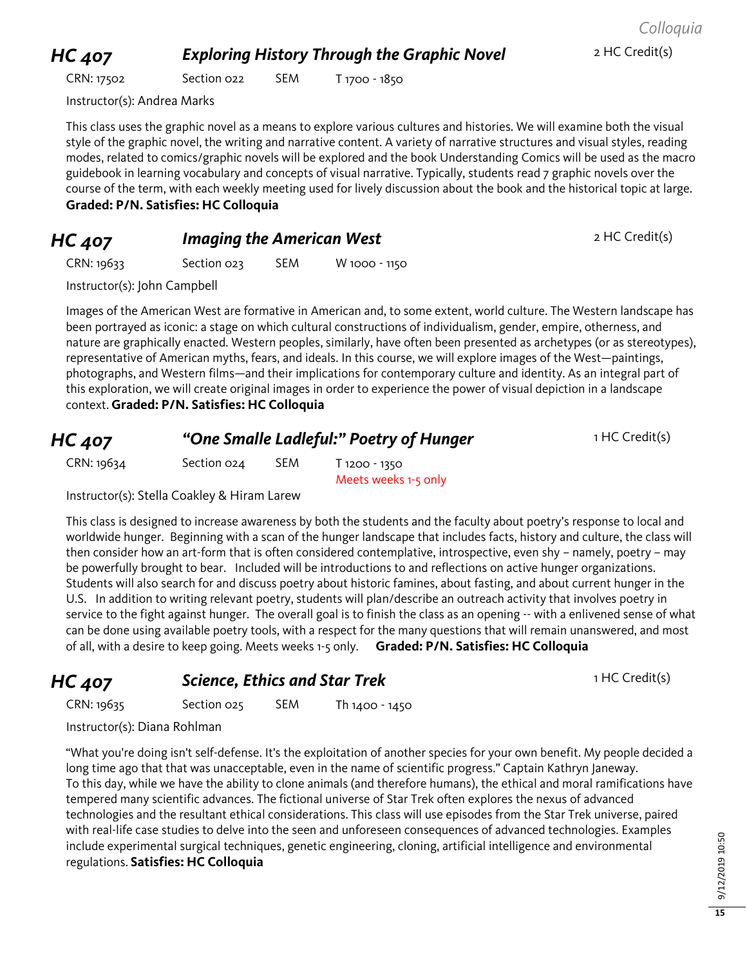9/12/2019 10:50 9/12/2019 10:50

**15**

#### *Colloquia*

**HC 407 Exploring History Through the Graphic Novel** 2 HC Credit(s)

CRN: 17502 Section 022 SEM T 1700 - 1850

Instructor(s): Andrea Marks

This class uses the graphic novel as a means to explore various cultures and histories. We will examine both the visual style of the graphic novel, the writing and narrative content. A variety of narrative structures and visual styles, reading modes, related to comics/graphic novels will be explored and the book Understanding Comics will be used as the macro guidebook in learning vocabulary and concepts of visual narrative. Typically, students read 7 graphic novels over the course of the term, with each weekly meeting used for lively discussion about the book and the historical topic at large. **Graded: P/N. Satisfies: HC Colloquia**

#### **HC 407 Imaging the American West** 2 HC Credit(s)

CRN: 19633 Section 023 SEM W 1000 - 1150

Instructor(s): John Campbell

Images of the American West are formative in American and, to some extent, world culture. The Western landscape has been portrayed as iconic: a stage on which cultural constructions of individualism, gender, empire, otherness, and nature are graphically enacted. Western peoples, similarly, have often been presented as archetypes (or as stereotypes), representative of American myths, fears, and ideals. In this course, we will explore images of the West—paintings, photographs, and Western films—and their implications for contemporary culture and identity. As an integral part of this exploration, we will create original images in order to experience the power of visual depiction in a landscape context. **Graded: P/N. Satisfies: HC Colloquia**

| <b>HC 407</b> | "One Smalle Ladleful:" Poetry of Hunger |     |                                       | 1 HC Credit(s) |
|---------------|-----------------------------------------|-----|---------------------------------------|----------------|
| CRN: 19634    | Section $O24$                           | SEM | T 1200 - 1350<br>Meets weeks 1-5 only |                |

Instructor(s): Stella Coakley & Hiram Larew

This class is designed to increase awareness by both the students and the faculty about poetry's response to local and worldwide hunger. Beginning with a scan of the hunger landscape that includes facts, history and culture, the class will then consider how an art-form that is often considered contemplative, introspective, even shy – namely, poetry – may be powerfully brought to bear. Included will be introductions to and reflections on active hunger organizations. Students will also search for and discuss poetry about historic famines, about fasting, and about current hunger in the U.S. In addition to writing relevant poetry, students will plan/describe an outreach activity that involves poetry in service to the fight against hunger. The overall goal is to finish the class as an opening -- with a enlivened sense of what can be done using available poetry tools, with a respect for the many questions that will remain unanswered, and most of all, with a desire to keep going. Meets weeks 1-5 only. **Graded: P/N. Satisfies: HC Colloquia**

**HC 407 Science, Ethics and Star Trek** 1 HC Credit(s)

CRN: 19635 Section 025 SEM Th 1400 - 1450

Instructor(s): Diana Rohlman

"What you're doing isn't self-defense. It's the exploitation of another species for your own benefit. My people decided a long time ago that that was unacceptable, even in the name of scientific progress." Captain Kathryn Janeway. To this day, while we have the ability to clone animals (and therefore humans), the ethical and moral ramifications have tempered many scientific advances. The fictional universe of Star Trek often explores the nexus of advanced technologies and the resultant ethical considerations. This class will use episodes from the Star Trek universe, paired with real-life case studies to delve into the seen and unforeseen consequences of advanced technologies. Examples include experimental surgical techniques, genetic engineering, cloning, artificial intelligence and environmental regulations. **Satisfies: HC Colloquia**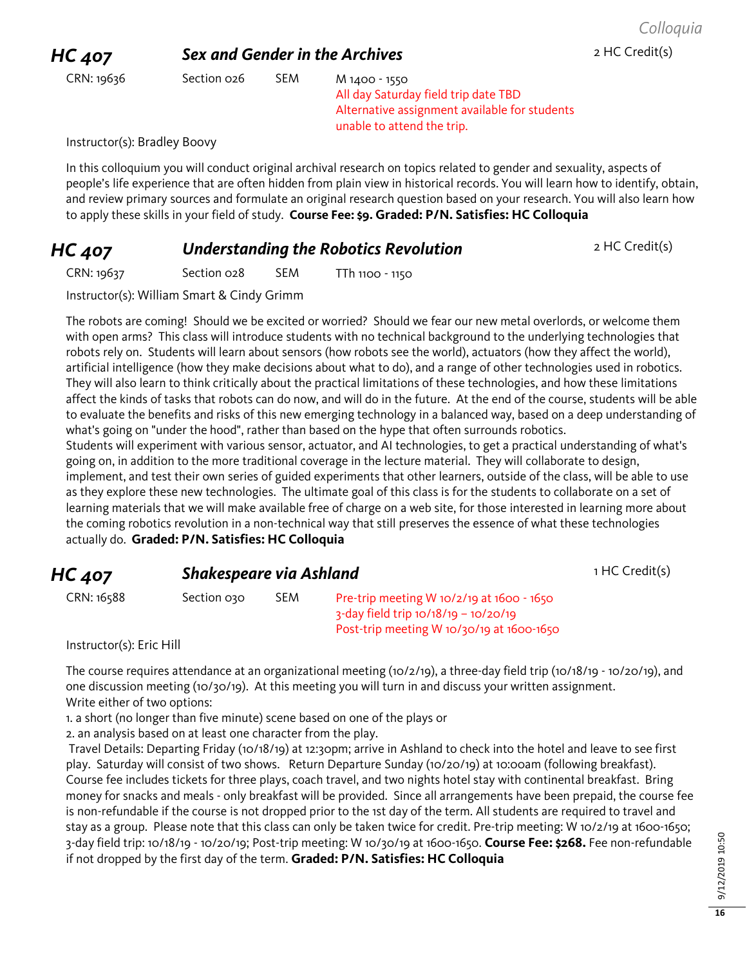#### **HC 407 Sex and Gender in the Archives 2 HC Credit(s)**

CRN: 19636 Section 026 SEM M 1400 - 1550

All day Saturday field trip date TBD Alternative assignment available for students unable to attend the trip.

Instructor(s): Bradley Boovy

In this colloquium you will conduct original archival research on topics related to gender and sexuality, aspects of people's life experience that are often hidden from plain view in historical records. You will learn how to identify, obtain, and review primary sources and formulate an original research question based on your research. You will also learn how to apply these skills in your field of study. **Course Fee: \$9. Graded: P/N. Satisfies: HC Colloquia**

**HC 407 Understanding the Robotics Revolution** 2 HC Credit(s)

CRN: 19637 Section 028 SEM TTh 1100 - 1150

Instructor(s): William Smart & Cindy Grimm

The robots are coming! Should we be excited or worried? Should we fear our new metal overlords, or welcome them with open arms? This class will introduce students with no technical background to the underlying technologies that robots rely on. Students will learn about sensors (how robots see the world), actuators (how they affect the world), artificial intelligence (how they make decisions about what to do), and a range of other technologies used in robotics. They will also learn to think critically about the practical limitations of these technologies, and how these limitations affect the kinds of tasks that robots can do now, and will do in the future. At the end of the course, students will be able to evaluate the benefits and risks of this new emerging technology in a balanced way, based on a deep understanding of what's going on "under the hood", rather than based on the hype that often surrounds robotics. Students will experiment with various sensor, actuator, and AI technologies, to get a practical understanding of what's

going on, in addition to the more traditional coverage in the lecture material. They will collaborate to design, implement, and test their own series of guided experiments that other learners, outside of the class, will be able to use as they explore these new technologies. The ultimate goal of this class is for the students to collaborate on a set of learning materials that we will make available free of charge on a web site, for those interested in learning more about the coming robotics revolution in a non-technical way that still preserves the essence of what these technologies actually do. **Graded: P/N. Satisfies: HC Colloquia**

## **HC 407 Shakespeare via Ashland 1 HC Credit(s) 1 HC Credit(s)**

| CRN: 16588 | Section 030 | <b>SEM</b> | Pre-trip meeting W $10/2/19$ at $1600 - 1650$ |
|------------|-------------|------------|-----------------------------------------------|
|            |             |            | $3$ -day field trip 10/18/19 – 10/20/19       |
|            |             |            | Post-trip meeting W 10/30/19 at 1600-1650     |

Instructor(s): Eric Hill

The course requires attendance at an organizational meeting (10/2/19), a three-day field trip (10/18/19 - 10/20/19), and one discussion meeting (10/30/19). At this meeting you will turn in and discuss your written assignment. Write either of two options:

1. a short (no longer than five minute) scene based on one of the plays or

2. an analysis based on at least one character from the play.

Travel Details: Departing Friday (10/18/19) at 12:30pm; arrive in Ashland to check into the hotel and leave to see first play. Saturday will consist of two shows. Return Departure Sunday (10/20/19) at 10:00am (following breakfast). Course fee includes tickets for three plays, coach travel, and two nights hotel stay with continental breakfast. Bring money for snacks and meals - only breakfast will be provided. Since all arrangements have been prepaid, the course fee is non-refundable if the course is not dropped prior to the 1st day of the term. All students are required to travel and stay as a group. Please note that this class can only be taken twice for credit. Pre-trip meeting: W 10/2/19 at 1600-1650; 3-day field trip: 10/18/19 - 10/20/19; Post-trip meeting: W 10/30/19 at 1600-1650. **Course Fee: \$268.** Fee non-refundable if not dropped by the first day of the term. **Graded: P/N. Satisfies: HC Colloquia**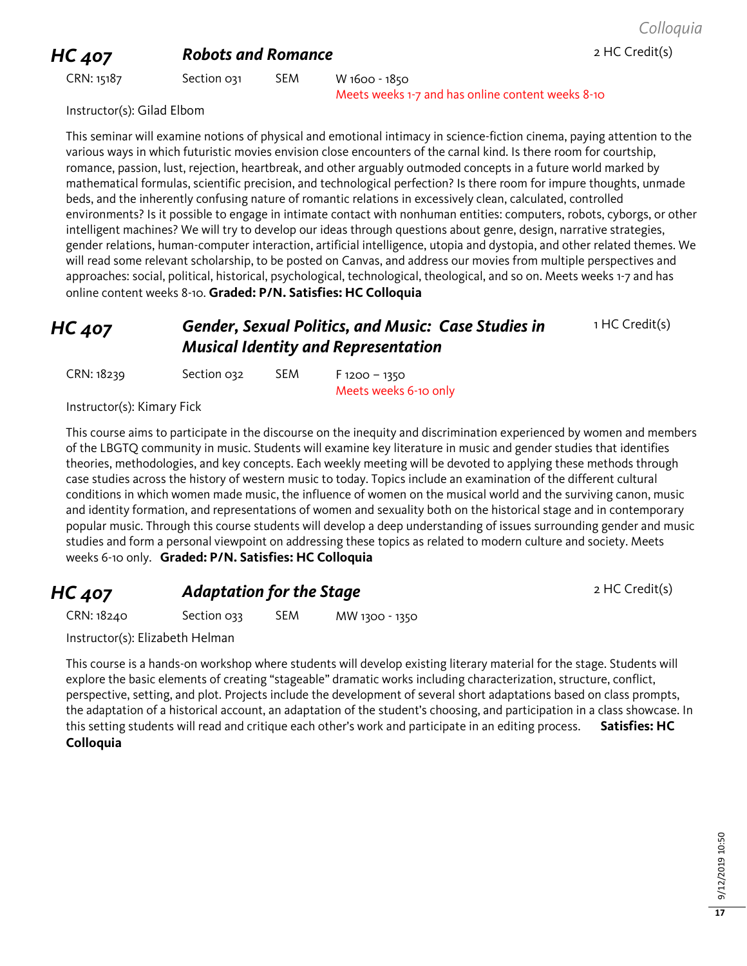#### **HC 407 Robots and Romance** 2 HC Credit(s)

CRN: 15187 Section 031 SEM W 1600 - 1850 Meets weeks 1-7 and has online content weeks 8-10

Instructor(s): Gilad Elbom

This seminar will examine notions of physical and emotional intimacy in science-fiction cinema, paying attention to the various ways in which futuristic movies envision close encounters of the carnal kind. Is there room for courtship, romance, passion, lust, rejection, heartbreak, and other arguably outmoded concepts in a future world marked by mathematical formulas, scientific precision, and technological perfection? Is there room for impure thoughts, unmade beds, and the inherently confusing nature of romantic relations in excessively clean, calculated, controlled environments? Is it possible to engage in intimate contact with nonhuman entities: computers, robots, cyborgs, or other intelligent machines? We will try to develop our ideas through questions about genre, design, narrative strategies, gender relations, human-computer interaction, artificial intelligence, utopia and dystopia, and other related themes. We will read some relevant scholarship, to be posted on Canvas, and address our movies from multiple perspectives and approaches: social, political, historical, psychological, technological, theological, and so on. Meets weeks 1-7 and has online content weeks 8-10. **Graded: P/N. Satisfies: HC Colloquia**

#### *HC 407 Gender, Sexual Politics, and Music: Case Studies in Musical Identity and Representation* 1 HC Credit(s)

| CRN: 18239 | Section 032 | <b>SEM</b> | $F$ 1200 – 1350       |
|------------|-------------|------------|-----------------------|
|            |             |            | Meets weeks 6-10 only |

Instructor(s): Kimary Fick

This course aims to participate in the discourse on the inequity and discrimination experienced by women and members of the LBGTQ community in music. Students will examine key literature in music and gender studies that identifies theories, methodologies, and key concepts. Each weekly meeting will be devoted to applying these methods through case studies across the history of western music to today. Topics include an examination of the different cultural conditions in which women made music, the influence of women on the musical world and the surviving canon, music and identity formation, and representations of women and sexuality both on the historical stage and in contemporary popular music. Through this course students will develop a deep understanding of issues surrounding gender and music studies and form a personal viewpoint on addressing these topics as related to modern culture and society. Meets weeks 6-10 only. **Graded: P/N. Satisfies: HC Colloquia**

#### **HC 407 Adaptation for the Stage** 2 HC Credit(s)

CRN: 18240 Section 033 SEM MW 1300 - 1350

Instructor(s): Elizabeth Helman

This course is a hands-on workshop where students will develop existing literary material for the stage. Students will explore the basic elements of creating "stageable" dramatic works including characterization, structure, conflict, perspective, setting, and plot. Projects include the development of several short adaptations based on class prompts, the adaptation of a historical account, an adaptation of the student's choosing, and participation in a class showcase. In this setting students will read and critique each other's work and participate in an editing process. **Satisfies: HC Colloquia**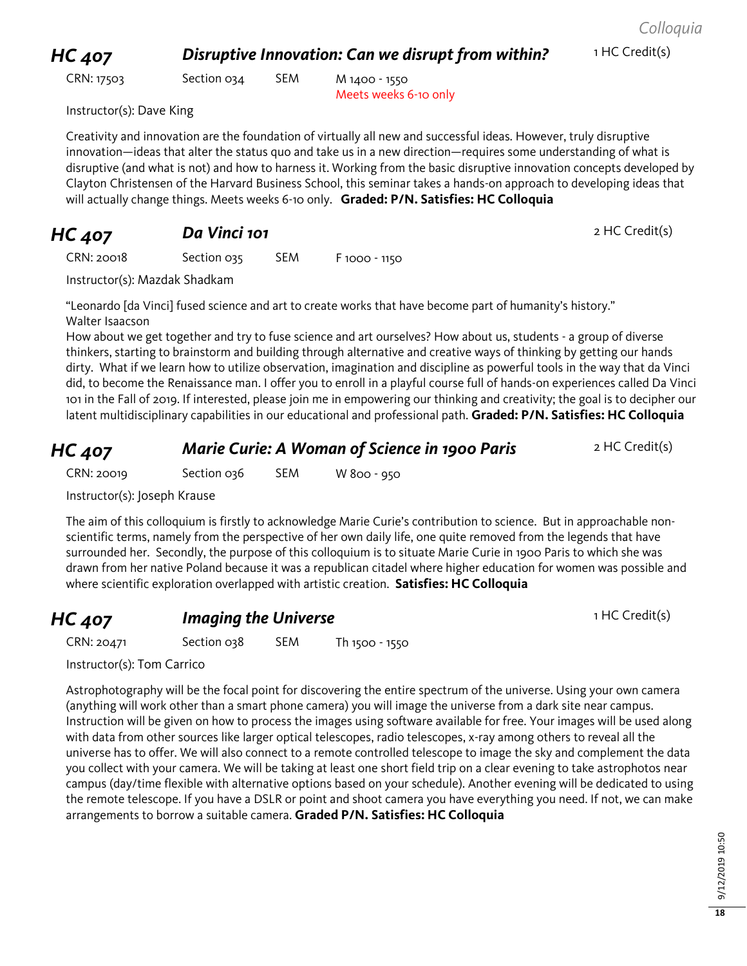#### *HC 407* **Disruptive Innovation: Can we disrupt from within?** 1 HC Credit(s)

CRN: 17503 Section 034 SEM M 1400 - 1550

Meets weeks 6-10 only

Instructor(s): Dave King

Creativity and innovation are the foundation of virtually all new and successful ideas. However, truly disruptive innovation—ideas that alter the status quo and take us in a new direction—requires some understanding of what is disruptive (and what is not) and how to harness it. Working from the basic disruptive innovation concepts developed by Clayton Christensen of the Harvard Business School, this seminar takes a hands-on approach to developing ideas that will actually change things. Meets weeks 6-10 only. **Graded: P/N. Satisfies: HC Colloquia**

# **HC 407 Da Vinci 101 Dansel Control 101 2 HC Credit(s)**

CRN: 20018 Section 035 SEM F 1000 - 1150

Instructor(s): Mazdak Shadkam

"Leonardo [da Vinci] fused science and art to create works that have become part of humanity's history." Walter Isaacson

How about we get together and try to fuse science and art ourselves? How about us, students - a group of diverse thinkers, starting to brainstorm and building through alternative and creative ways of thinking by getting our hands dirty. What if we learn how to utilize observation, imagination and discipline as powerful tools in the way that da Vinci did, to become the Renaissance man. I offer you to enroll in a playful course full of hands-on experiences called Da Vinci 101 in the Fall of 2019. If interested, please join me in empowering our thinking and creativity; the goal is to decipher our latent multidisciplinary capabilities in our educational and professional path. **Graded: P/N. Satisfies: HC Colloquia**

#### **HC 407** *Marie Curie: A Woman of Science in 1900 Paris* **2 HC Credit(s)**

CRN: 20019 Section 036 SEM W 800 - 950

Instructor(s): Joseph Krause

The aim of this colloquium is firstly to acknowledge Marie Curie's contribution to science. But in approachable nonscientific terms, namely from the perspective of her own daily life, one quite removed from the legends that have surrounded her. Secondly, the purpose of this colloquium is to situate Marie Curie in 1900 Paris to which she was drawn from her native Poland because it was a republican citadel where higher education for women was possible and where scientific exploration overlapped with artistic creation. **Satisfies: HC Colloquia**

## **HC 407 Imaging the Universe 1 HC Credit(s)** 1 HC Credit(s)

CRN: 20471 Section 038 SEM Th 1500 - 1550

Instructor(s): Tom Carrico

Astrophotography will be the focal point for discovering the entire spectrum of the universe. Using your own camera (anything will work other than a smart phone camera) you will image the universe from a dark site near campus. Instruction will be given on how to process the images using software available for free. Your images will be used along with data from other sources like larger optical telescopes, radio telescopes, x-ray among others to reveal all the universe has to offer. We will also connect to a remote controlled telescope to image the sky and complement the data you collect with your camera. We will be taking at least one short field trip on a clear evening to take astrophotos near campus (day/time flexible with alternative options based on your schedule). Another evening will be dedicated to using the remote telescope. If you have a DSLR or point and shoot camera you have everything you need. If not, we can make arrangements to borrow a suitable camera. **Graded P/N. Satisfies: HC Colloquia**

**18**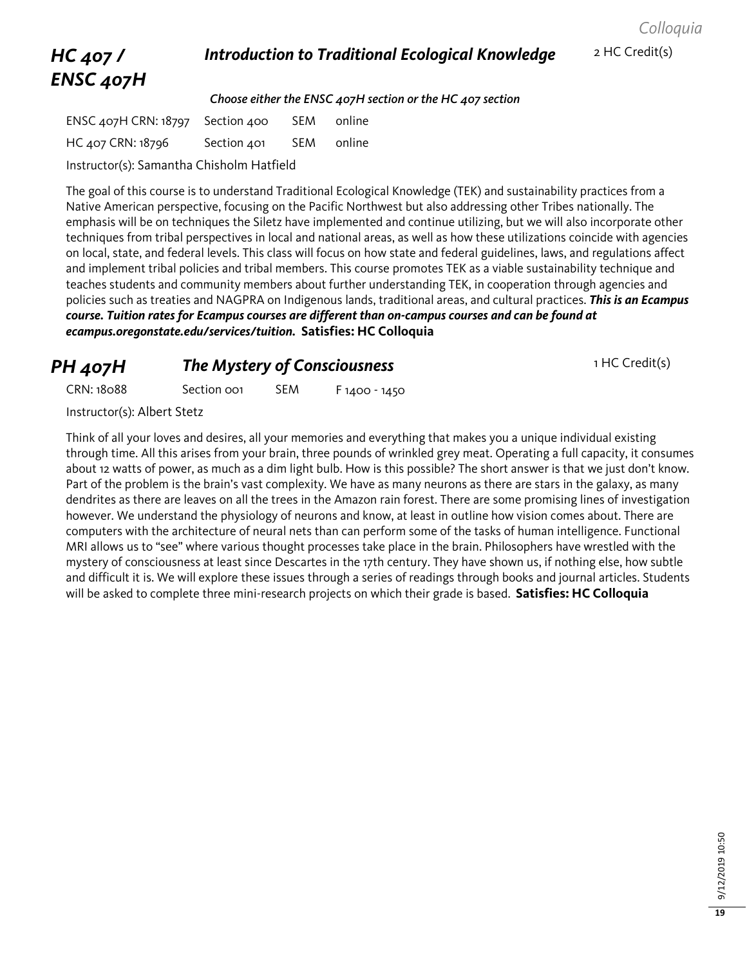#### *Colloquia*

# *HC 407 / ENSC 407H*

#### **Introduction to Traditional Ecological Knowledge** 2 HC Credit(s)

*Choose either the ENSC 407H section or the HC 407 section*

ENSC 407H CRN: 18797 Section 400 SEM online HC 407 CRN: 18796 Section 401 SEM online Instructor(s): Samantha Chisholm Hatfield

The goal of this course is to understand Traditional Ecological Knowledge (TEK) and sustainability practices from a Native American perspective, focusing on the Pacific Northwest but also addressing other Tribes nationally. The emphasis will be on techniques the Siletz have implemented and continue utilizing, but we will also incorporate other techniques from tribal perspectives in local and national areas, as well as how these utilizations coincide with agencies on local, state, and federal levels. This class will focus on how state and federal guidelines, laws, and regulations affect and implement tribal policies and tribal members. This course promotes TEK as a viable sustainability technique and teaches students and community members about further understanding TEK, in cooperation through agencies and policies such as treaties and NAGPRA on Indigenous lands, traditional areas, and cultural practices. *This is an Ecampus course. Tuition rates for Ecampus courses are different than on-campus courses and can be found at ecampus.oregonstate.edu/services/tuition.* **Satisfies: HC Colloquia**

#### **PH 407H The Mystery of Consciousness 1 HC Credit(s)**

CRN: 18088 Section 001 SEM F 1400 - 1450

Instructor(s): Albert Stetz

Think of all your loves and desires, all your memories and everything that makes you a unique individual existing through time. All this arises from your brain, three pounds of wrinkled grey meat. Operating a full capacity, it consumes about 12 watts of power, as much as a dim light bulb. How is this possible? The short answer is that we just don't know. Part of the problem is the brain's vast complexity. We have as many neurons as there are stars in the galaxy, as many dendrites as there are leaves on all the trees in the Amazon rain forest. There are some promising lines of investigation however. We understand the physiology of neurons and know, at least in outline how vision comes about. There are computers with the architecture of neural nets than can perform some of the tasks of human intelligence. Functional MRI allows us to "see" where various thought processes take place in the brain. Philosophers have wrestled with the mystery of consciousness at least since Descartes in the 17th century. They have shown us, if nothing else, how subtle and difficult it is. We will explore these issues through a series of readings through books and journal articles. Students will be asked to complete three mini-research projects on which their grade is based. **Satisfies: HC Colloquia**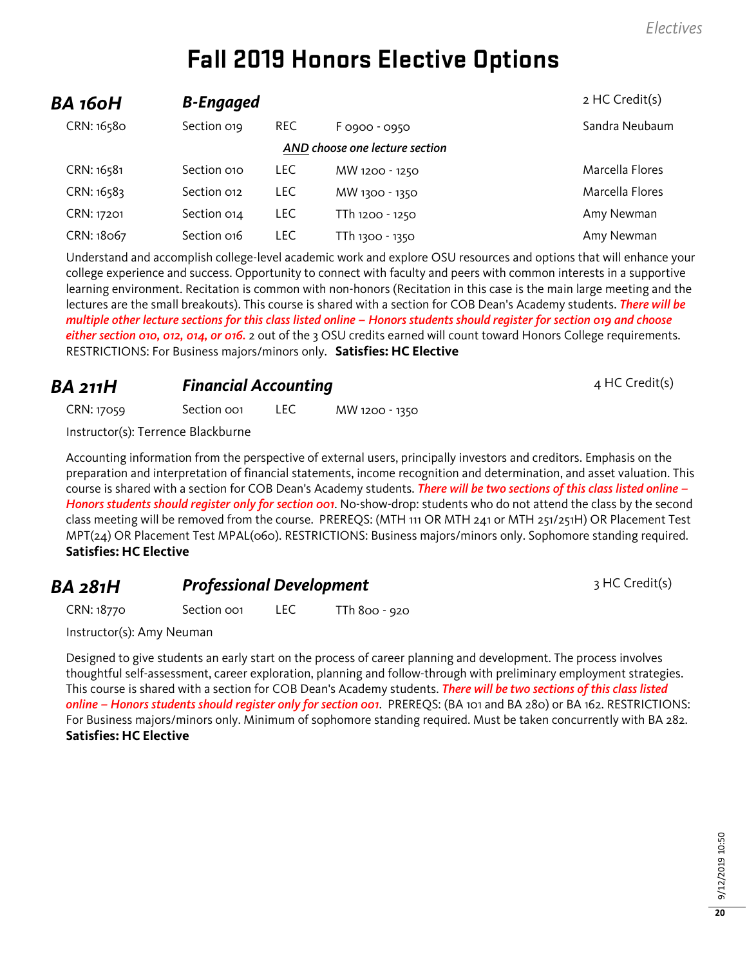# **Fall 2019 Honors Elective Options**

| BA 160H    | <b>B-Engaged</b>               |            |                 | 2 HC Credit(s)  |  |  |  |
|------------|--------------------------------|------------|-----------------|-----------------|--|--|--|
| CRN: 16580 | Section 019                    | <b>REC</b> | F 0900 - 0950   | Sandra Neubaum  |  |  |  |
|            | AND choose one lecture section |            |                 |                 |  |  |  |
| CRN: 16581 | Section 010                    | LEC.       | MW 1200 - 1250  | Marcella Flores |  |  |  |
| CRN: 16583 | Section 012                    | <b>LEC</b> | MW 1300 - 1350  | Marcella Flores |  |  |  |
| CRN: 17201 | Section 014                    | <b>LEC</b> | TTh 1200 - 1250 | Amy Newman      |  |  |  |
| CRN: 18067 | Section 016                    | LEC.       | TTh 1300 - 1350 | Amy Newman      |  |  |  |

Understand and accomplish college-level academic work and explore OSU resources and options that will enhance your college experience and success. Opportunity to connect with faculty and peers with common interests in a supportive learning environment. Recitation is common with non-honors (Recitation in this case is the main large meeting and the lectures are the small breakouts). This course is shared with a section for COB Dean's Academy students. *There will be multiple other lecture sections for this class listed online – Honors students should register for section 019 and choose either section 010, 012, 014, or 016.* 2 out of the 3 OSU credits earned will count toward Honors College requirements. RESTRICTIONS: For Business majors/minors only. **Satisfies: HC Elective**

#### **BA 211H Financial Accounting Example 211H** *A* **HC Credit(s)**

CRN: 17059 Section 001 LEC MW 1200 - 1350

Instructor(s): Terrence Blackburne

Accounting information from the perspective of external users, principally investors and creditors. Emphasis on the preparation and interpretation of financial statements, income recognition and determination, and asset valuation. This course is shared with a section for COB Dean's Academy students. *There will be two sections of this class listed online – Honors students should register only for section 001*. No-show-drop: students who do not attend the class by the second class meeting will be removed from the course. PREREQS: (MTH 111 OR MTH 241 or MTH 251/251H) OR Placement Test MPT(24) OR Placement Test MPAL(060). RESTRICTIONS: Business majors/minors only. Sophomore standing required. **Satisfies: HC Elective**

#### **BA 281H Professional Development** 3 HC Credit(s)

CRN: 18770 Section 001 LEC TTh 800 - 920

Instructor(s): Amy Neuman

Designed to give students an early start on the process of career planning and development. The process involves thoughtful self-assessment, career exploration, planning and follow-through with preliminary employment strategies. This course is shared with a section for COB Dean's Academy students. *There will be two sections of this class listed online – Honors students should register only for section 001*. PREREQS: (BA 101 and BA 280) or BA 162. RESTRICTIONS: For Business majors/minors only. Minimum of sophomore standing required. Must be taken concurrently with BA 282. **Satisfies: HC Elective**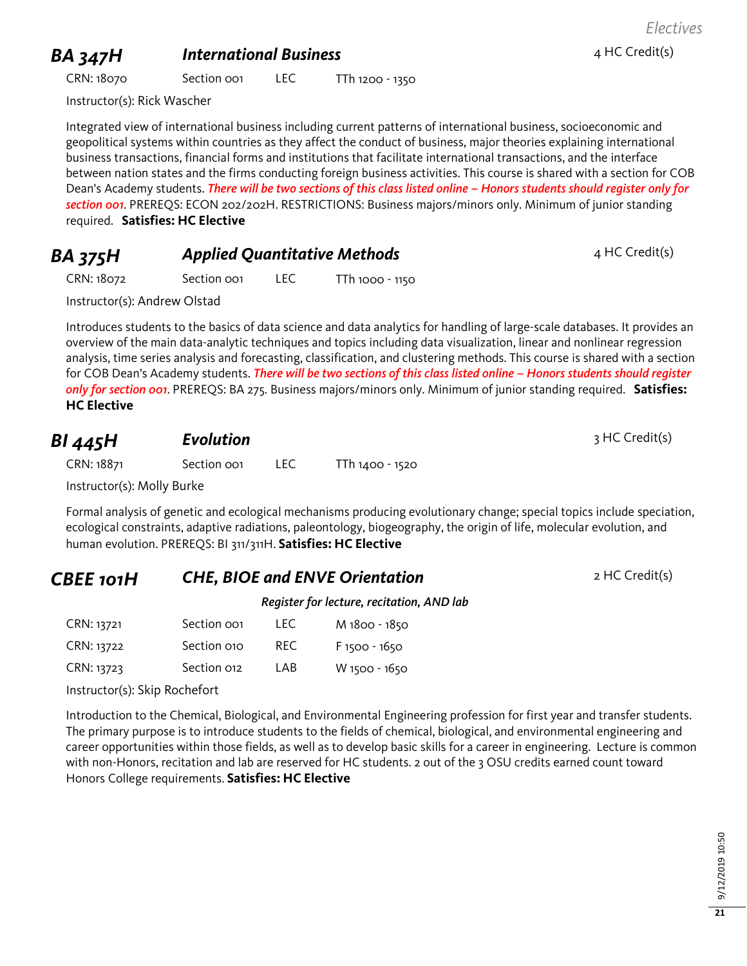## **BA 347H International Business 1 Aproximation 4 HC Credit(s)**

*Electives*

CRN: 18070 Section 001 LEC TTh 1200 - 1350

Instructor(s): Rick Wascher

Integrated view of international business including current patterns of international business, socioeconomic and geopolitical systems within countries as they affect the conduct of business, major theories explaining international business transactions, financial forms and institutions that facilitate international transactions, and the interface between nation states and the firms conducting foreign business activities. This course is shared with a section for COB Dean's Academy students. *There will be two sections of this class listed online – Honors students should register only for section 001*. PREREQS: ECON 202/202H. RESTRICTIONS: Business majors/minors only. Minimum of junior standing required. **Satisfies: HC Elective**

| <b>BA 375H</b> | <b>Applied Quantitative Methods</b> | 4 HC Credit(s) |
|----------------|-------------------------------------|----------------|
|                |                                     |                |

CRN: 18072 Section 001 LEC TTh 1000 - 1150

Instructor(s): Andrew Olstad

Introduces students to the basics of data science and data analytics for handling of large-scale databases. It provides an overview of the main data-analytic techniques and topics including data visualization, linear and nonlinear regression analysis, time series analysis and forecasting, classification, and clustering methods. This course is shared with a section for COB Dean's Academy students. *There will be two sections of this class listed online – Honors students should register only for section 001*. PREREQS: BA 275. Business majors/minors only. Minimum of junior standing required. **Satisfies: HC Elective**

| BI 445H    | Evolution   |     |                 | 3 HC Credit(s) |
|------------|-------------|-----|-----------------|----------------|
| CRN: 18871 | Section oo1 | LEC | TTh 1400 - 1520 |                |

Instructor(s): Molly Burke

Formal analysis of genetic and ecological mechanisms producing evolutionary change; special topics include speciation, ecological constraints, adaptive radiations, paleontology, biogeography, the origin of life, molecular evolution, and human evolution. PREREQS: BI 311/311H. **Satisfies: HC Elective**

#### **CBEE 101H CHE, BIOE and ENVE Orientation** 2 HC Credit(s)

*Register for lecture, recitation, AND lab*

| CRN: 13721 | Section oo <sub>1</sub> | LEC. | M 1800 - 1850   |
|------------|-------------------------|------|-----------------|
| CRN: 13722 | Section 010             | RFC. | $F$ 1500 - 1650 |
| CRN: 13723 | Section 012             | I AB | W 1500 - 1650   |

Instructor(s): Skip Rochefort

Introduction to the Chemical, Biological, and Environmental Engineering profession for first year and transfer students. The primary purpose is to introduce students to the fields of chemical, biological, and environmental engineering and career opportunities within those fields, as well as to develop basic skills for a career in engineering. Lecture is common with non-Honors, recitation and lab are reserved for HC students. 2 out of the 3 OSU credits earned count toward Honors College requirements. **Satisfies: HC Elective**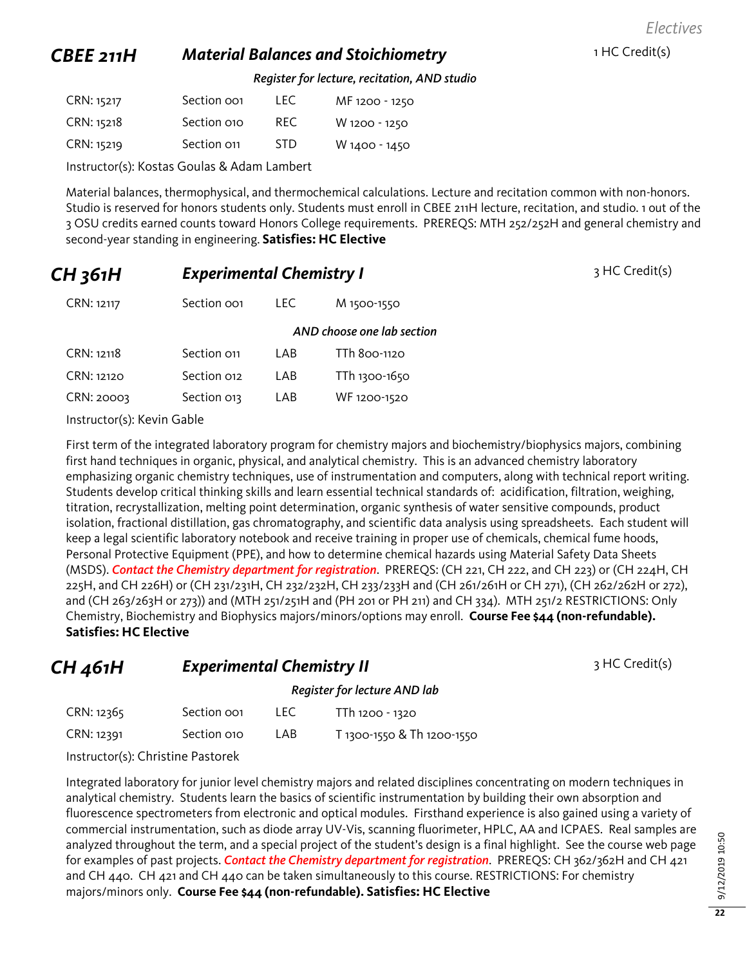*Electives*

#### **CBEE 211H Material Balances and Stoichiometry** 1 HC Credit(s)

*Register for lecture, recitation, AND studio*

| CRN: 15217 | Section oo <sub>1</sub> | LEC. | MF 1200 - 1250 |
|------------|-------------------------|------|----------------|
| CRN: 15218 | Section 010             | RFC. | W 1200 - 1250  |
| CRN: 15219 | Section 011             | STD. | W 1400 - 1450  |

Instructor(s): Kostas Goulas & Adam Lambert

Material balances, thermophysical, and thermochemical calculations. Lecture and recitation common with non-honors. Studio is reserved for honors students only. Students must enroll in CBEE 211H lecture, recitation, and studio. 1 out of the 3 OSU credits earned counts toward Honors College requirements. PREREQS: MTH 252/252H and general chemistry and second-year standing in engineering. **Satisfies: HC Elective**

| CH 361H                    |             | <b>Experimental Chemistry I</b> |                            | 3 HC Credit(s) |
|----------------------------|-------------|---------------------------------|----------------------------|----------------|
| CRN: 12117                 | Section oo1 | LEC.                            | M 1500-1550                |                |
|                            |             |                                 | AND choose one lab section |                |
| CRN: 12118                 | Section 011 | LAB                             | TTh 800-1120               |                |
| CRN: 12120                 | Section 012 | LAB                             | TTh 1300-1650              |                |
| CRN: 20003                 | Section 013 | LAB                             | WF 1200-1520               |                |
| Instructor(s): Kevin Gable |             |                                 |                            |                |

First term of the integrated laboratory program for chemistry majors and biochemistry/biophysics majors, combining first hand techniques in organic, physical, and analytical chemistry. This is an advanced chemistry laboratory emphasizing organic chemistry techniques, use of instrumentation and computers, along with technical report writing. Students develop critical thinking skills and learn essential technical standards of: acidification, filtration, weighing, titration, recrystallization, melting point determination, organic synthesis of water sensitive compounds, product isolation, fractional distillation, gas chromatography, and scientific data analysis using spreadsheets. Each student will keep a legal scientific laboratory notebook and receive training in proper use of chemicals, chemical fume hoods, Personal Protective Equipment (PPE), and how to determine chemical hazards using Material Safety Data Sheets (MSDS). *Contact the Chemistry department for registration*. PREREQS: (CH 221, CH 222, and CH 223) or (CH 224H, CH 225H, and CH 226H) or (CH 231/231H, CH 232/232H, CH 233/233H and (CH 261/261H or CH 271), (CH 262/262H or 272), and (CH 263/263H or 273)) and (MTH 251/251H and (PH 201 or PH 211) and CH 334). MTH 251/2 RESTRICTIONS: Only Chemistry, Biochemistry and Biophysics majors/minors/options may enroll. **Course Fee \$44 (non-refundable). Satisfies: HC Elective**

**CH 461H Experimental Chemistry II** 3 HC Credit(s)

*Register for lecture AND lab*

| CRN: 12365 | Section oo1 | <b>LEC</b> | TTh 1200 - 1320            |
|------------|-------------|------------|----------------------------|
| CRN: 12391 | Section 010 | LAB        | T 1300-1550 & Th 1200-1550 |

Instructor(s): Christine Pastorek

Integrated laboratory for junior level chemistry majors and related disciplines concentrating on modern techniques in analytical chemistry. Students learn the basics of scientific instrumentation by building their own absorption and fluorescence spectrometers from electronic and optical modules. Firsthand experience is also gained using a variety of commercial instrumentation, such as diode array UV-Vis, scanning fluorimeter, HPLC, AA and ICPAES. Real samples are analyzed throughout the term, and a special project of the student's design is a final highlight. See the course web page for examples of past projects. *Contact the Chemistry department for registration*. PREREQS: CH 362/362H and CH 421 and CH 440. CH 421 and CH 440 can be taken simultaneously to this course. RESTRICTIONS: For chemistry majors/minors only. **Course Fee \$44 (non-refundable). Satisfies: HC Elective**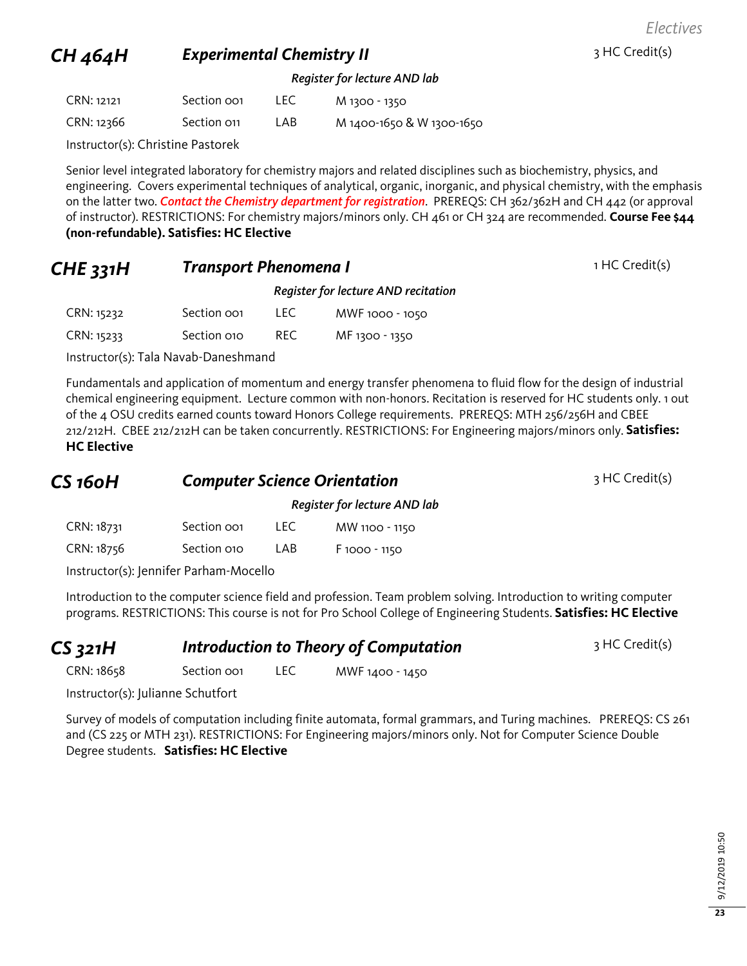*Electives*

## **CH 464H Experimental Chemistry II** 3 HC Credit(s)

#### *Register for lecture AND lab*

| CRN: 12121 | Section oo1 | LEC. | M 1300 - 1350             |
|------------|-------------|------|---------------------------|
| CRN: 12366 | Section 011 | LAB. | M 1400-1650 & W 1300-1650 |

Instructor(s): Christine Pastorek

Senior level integrated laboratory for chemistry majors and related disciplines such as biochemistry, physics, and engineering. Covers experimental techniques of analytical, organic, inorganic, and physical chemistry, with the emphasis on the latter two. *Contact the Chemistry department for registration*. PREREQS: CH 362/362H and CH 442 (or approval of instructor). RESTRICTIONS: For chemistry majors/minors only. CH 461 or CH 324 are recommended. **Course Fee \$44 (non-refundable). Satisfies: HC Elective**

#### **CHE 331H Transport Phenomena I** 1HC Credit(s)

|            |             |      | Register for lecture AND recitation |
|------------|-------------|------|-------------------------------------|
| CRN: 15232 | Section oo1 | TEC. | MWF 1000 - 1050                     |
| CRN: 15233 | Section 010 | RFC. | MF 1300 - 1350                      |

Instructor(s): Tala Navab-Daneshmand

Fundamentals and application of momentum and energy transfer phenomena to fluid flow for the design of industrial chemical engineering equipment. Lecture common with non-honors. Recitation is reserved for HC students only. 1 out of the 4 OSU credits earned counts toward Honors College requirements. PREREQS: MTH 256/256H and CBEE 212/212H. CBEE 212/212H can be taken concurrently. RESTRICTIONS: For Engineering majors/minors only. **Satisfies: HC Elective**

| CS 160H    | <b>Computer Science Orientation</b> |      |                              | 3 HC Credit(s) |
|------------|-------------------------------------|------|------------------------------|----------------|
|            |                                     |      | Register for lecture AND lab |                |
| CRN: 18731 | Section oo <sub>1</sub>             | LEC. | MW 1100 - 1150               |                |

Instructor(s): Jennifer Parham-Mocello

CRN: 18756 Section 010 LAB F 1000 - 1150

Introduction to the computer science field and profession. Team problem solving. Introduction to writing computer programs. RESTRICTIONS: This course is not for Pro School College of Engineering Students. **Satisfies: HC Elective**

| $CS$ 321 $H$ |                         | <b>Introduction to Theory of Computation</b> | 3 HC Credit(s)  |  |
|--------------|-------------------------|----------------------------------------------|-----------------|--|
| CRN: 18658   | Section oo <sub>1</sub> | LEC.                                         | MWF 1400 - 1450 |  |

Instructor(s): Julianne Schutfort

Survey of models of computation including finite automata, formal grammars, and Turing machines. PREREQS: CS 261 and (CS 225 or MTH 231). RESTRICTIONS: For Engineering majors/minors only. Not for Computer Science Double Degree students. **Satisfies: HC Elective**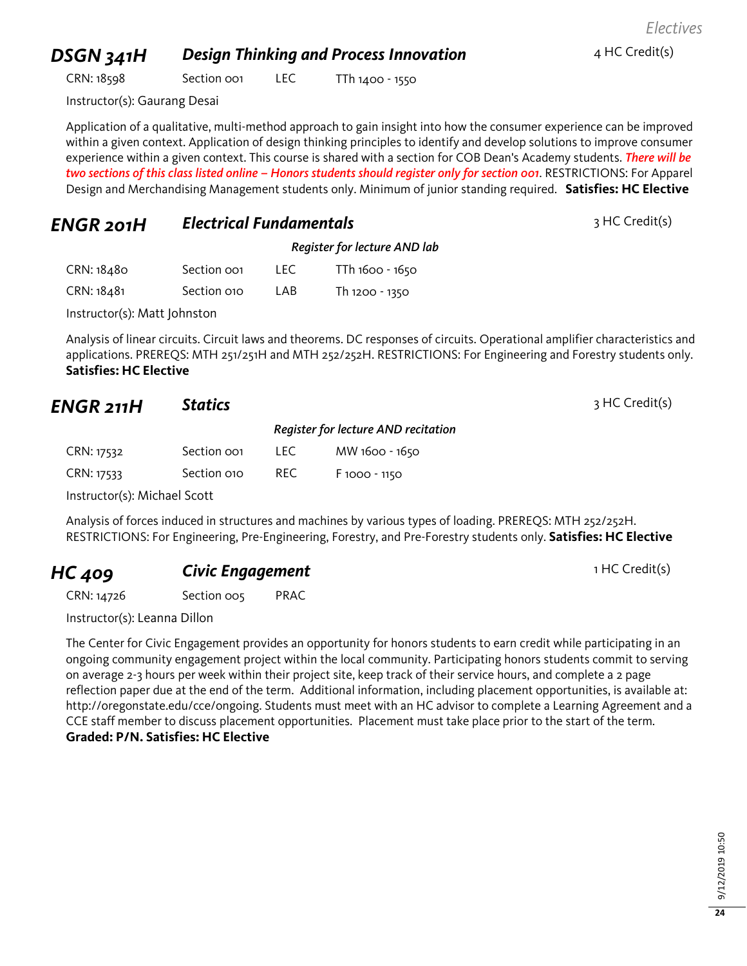### **DSGN 341H Design Thinking and Process Innovation** 4 HC Credit(s)

*Electives*

CRN: 18598 Section 001 LEC TTh 1400 - 1550

Instructor(s): Gaurang Desai

Application of a qualitative, multi-method approach to gain insight into how the consumer experience can be improved within a given context. Application of design thinking principles to identify and develop solutions to improve consumer experience within a given context. This course is shared with a section for COB Dean's Academy students. *There will be two sections of this class listed online – Honors students should register only for section 001*. RESTRICTIONS: For Apparel Design and Merchandising Management students only. Minimum of junior standing required. **Satisfies: HC Elective**

#### *ENGR 201H Electrical Fundamentals* <sup>3</sup> HC Credit(s)

|            |             | Register for lecture AND lab |                 |  |
|------------|-------------|------------------------------|-----------------|--|
| CRN: 18480 | Section oo1 | LEC.                         | TTh 1600 - 1650 |  |
| CRN: 18481 | Section 010 | I AB                         | Th 1200 - 1350  |  |

Instructor(s): Matt Johnston

Analysis of linear circuits. Circuit laws and theorems. DC responses of circuits. Operational amplifier characteristics and applications. PREREQS: MTH 251/251H and MTH 252/252H. RESTRICTIONS: For Engineering and Forestry students only. **Satisfies: HC Elective**

#### *ENGR 211H* **Statics** 3 HC Credit(s)

|                              |             |       | Register for lecture AND recitation |  |  |
|------------------------------|-------------|-------|-------------------------------------|--|--|
| CRN: 17532                   | Section oo1 | LEC . | MW 1600 - 1650                      |  |  |
| CRN: 17533                   | Section 010 | REC.  | $F$ 1000 - 1150                     |  |  |
| Instructor(s): Michael Scott |             |       |                                     |  |  |

Analysis of forces induced in structures and machines by various types of loading. PREREQS: MTH 252/252H. RESTRICTIONS: For Engineering, Pre-Engineering, Forestry, and Pre-Forestry students only. **Satisfies: HC Elective**

#### **HC 409 Civic Engagement Civic Engagement** 1 HC Credit(s)

CRN: 14726 Section 005 PRAC

Instructor(s): Leanna Dillon

The Center for Civic Engagement provides an opportunity for honors students to earn credit while participating in an ongoing community engagement project within the local community. Participating honors students commit to serving on average 2-3 hours per week within their project site, keep track of their service hours, and complete a 2 page reflection paper due at the end of the term. Additional information, including placement opportunities, is available at: http://oregonstate.edu/cce/ongoing. Students must meet with an HC advisor to complete a Learning Agreement and a CCE staff member to discuss placement opportunities. Placement must take place prior to the start of the term. **Graded: P/N. Satisfies: HC Elective**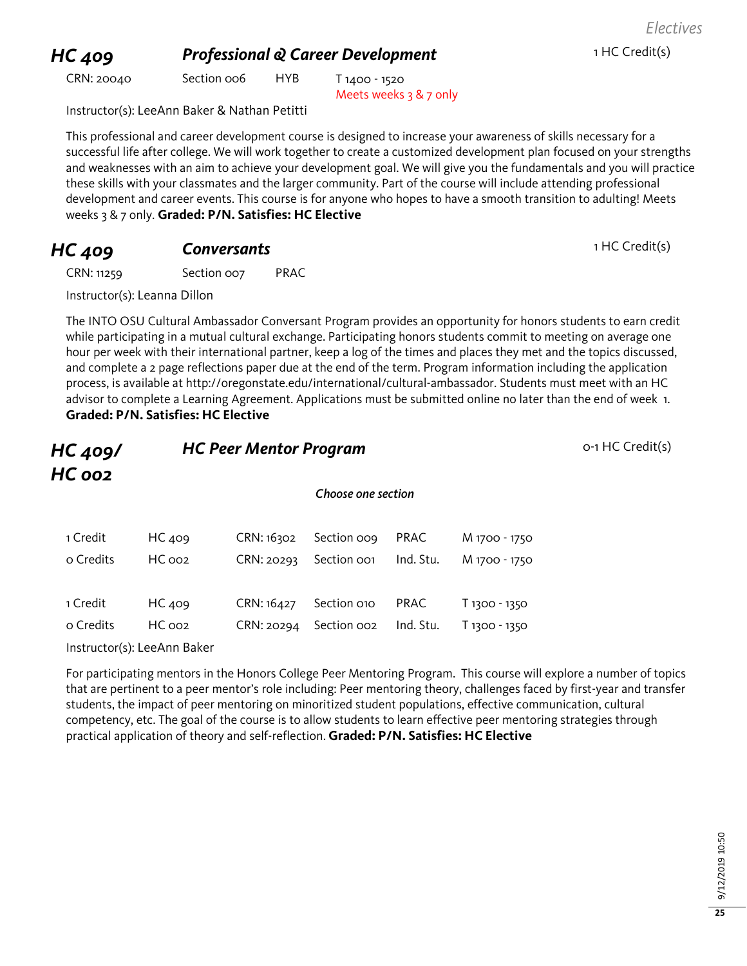# 9/12/2019 10:50 9/12/2019 10:50

# **HC 409 Professional & Career Development** 1 HC Credit(s)

CRN: 20040 Section 006 HYB T 1400 - 1520

Meets weeks 3 & 7 only

Instructor(s): LeeAnn Baker & Nathan Petitti

This professional and career development course is designed to increase your awareness of skills necessary for a successful life after college. We will work together to create a customized development plan focused on your strengths and weaknesses with an aim to achieve your development goal. We will give you the fundamentals and you will practice these skills with your classmates and the larger community. Part of the course will include attending professional development and career events. This course is for anyone who hopes to have a smooth transition to adulting! Meets weeks 3 & 7 only. **Graded: P/N. Satisfies: HC Elective**

# **HC 409 Conversants Conversants 1 HC Credit(s)**

CRN: 11259 Section 007 PRAC

Instructor(s): Leanna Dillon

The INTO OSU Cultural Ambassador Conversant Program provides an opportunity for honors students to earn credit while participating in a mutual cultural exchange. Participating honors students commit to meeting on average one hour per week with their international partner, keep a log of the times and places they met and the topics discussed, and complete a 2 page reflections paper due at the end of the term. Program information including the application process, is available at http://oregonstate.edu/international/cultural-ambassador. Students must meet with an HC advisor to complete a Learning Agreement. Applications must be submitted online no later than the end of week 1. **Graded: P/N. Satisfies: HC Elective**

| HC 409/<br>$HC$ 002 |                             |            | <b>HC Peer Mentor Program</b> |             |               | o-1 HC Credit(s) |
|---------------------|-----------------------------|------------|-------------------------------|-------------|---------------|------------------|
|                     |                             |            | Choose one section            |             |               |                  |
| 1 Credit            | HC 409                      | CRN: 16302 | Section oog                   | PRAC        | M 1700 - 1750 |                  |
| o Credits           | HC 002                      | CRN: 20293 | Section oo1                   | Ind. Stu.   | M 1700 - 1750 |                  |
| 1 Credit            | HC 409                      | CRN: 16427 | Section 010                   | <b>PRAC</b> | T 1300 - 1350 |                  |
| o Credits           | HC 002                      | CRN: 20294 | Section oo2                   | Ind. Stu.   | T 1300 - 1350 |                  |
|                     | Instructor(s): LeeAnn Baker |            |                               |             |               |                  |

For participating mentors in the Honors College Peer Mentoring Program. This course will explore a number of topics that are pertinent to a peer mentor's role including: Peer mentoring theory, challenges faced by first-year and transfer students, the impact of peer mentoring on minoritized student populations, effective communication, cultural competency, etc. The goal of the course is to allow students to learn effective peer mentoring strategies through practical application of theory and self-reflection. **Graded: P/N. Satisfies: HC Elective**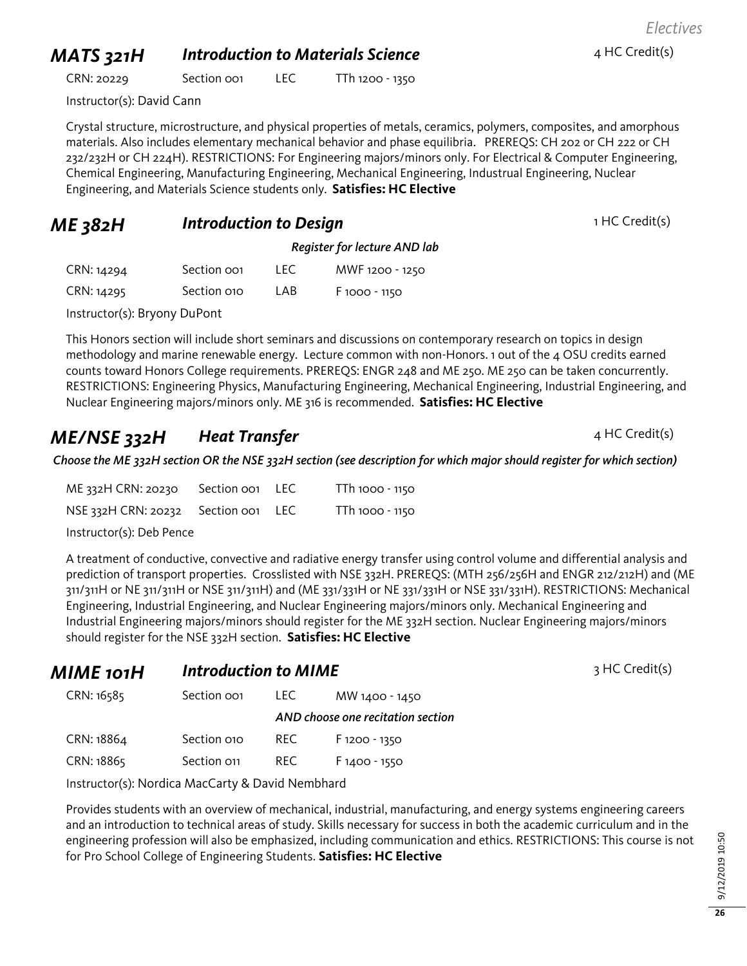## *MATS* 321H *Introduction to Materials Science* 4 HC Credit(s)

CRN: 20229 Section 001 LEC TTh 1200 - 1350

Instructor(s): David Cann

Crystal structure, microstructure, and physical properties of metals, ceramics, polymers, composites, and amorphous materials. Also includes elementary mechanical behavior and phase equilibria. PREREQS: CH 202 or CH 222 or CH 232/232H or CH 224H). RESTRICTIONS: For Engineering majors/minors only. For Electrical & Computer Engineering, Chemical Engineering, Manufacturing Engineering, Mechanical Engineering, Industrual Engineering, Nuclear Engineering, and Materials Science students only. **Satisfies: HC Elective**

#### **ME 382H Introduction to Design Introduction to Design 1 HC Credit(s)**

*Register for lecture AND lab*

| CRN: 14294 | Section oo1 | LEC | MWF 1200 - 1250 |
|------------|-------------|-----|-----------------|
| CRN: 14295 | Section 010 | LAB | F 1000 - 1150   |

Instructor(s): Bryony DuPont

This Honors section will include short seminars and discussions on contemporary research on topics in design methodology and marine renewable energy. Lecture common with non-Honors. 1 out of the 4 OSU credits earned counts toward Honors College requirements. PREREQS: ENGR 248 and ME 250. ME 250 can be taken concurrently. RESTRICTIONS: Engineering Physics, Manufacturing Engineering, Mechanical Engineering, Industrial Engineering, and Nuclear Engineering majors/minors only. ME 316 is recommended. **Satisfies: HC Elective**

### *ME/NSE* 332H *Heat Transfer* **Adding the AME/NSE** 332H *HC Credit(s)*

*Choose the ME 332H section OR the NSE 332H section (see description for which major should register for which section)*

| ME 332H CRN: 20230                  | Section oo1 LEC | TTh 1000 - 1150 |
|-------------------------------------|-----------------|-----------------|
| NSE 332H CRN: 20232 Section 001 LEC |                 | TTh 1000 - 1150 |
| Instructor(s): Deb Pence            |                 |                 |

A treatment of conductive, convective and radiative energy transfer using control volume and differential analysis and prediction of transport properties. Crosslisted with NSE 332H. PREREQS: (MTH 256/256H and ENGR 212/212H) and (ME 311/311H or NE 311/311H or NSE 311/311H) and (ME 331/331H or NE 331/331H or NSE 331/331H). RESTRICTIONS: Mechanical Engineering, Industrial Engineering, and Nuclear Engineering majors/minors only. Mechanical Engineering and Industrial Engineering majors/minors should register for the ME 332H section. Nuclear Engineering majors/minors should register for the NSE 332H section. **Satisfies: HC Elective**

| MIME 101H  | <b>Introduction to MIME</b> |      |                                   | 3 HC Credit(s) |
|------------|-----------------------------|------|-----------------------------------|----------------|
| CRN: 16585 | Section oo <sub>1</sub>     | LEC. | MW 1400 - 1450                    |                |
|            |                             |      | AND choose one recitation section |                |
| CRN: 18864 | Section 010                 | REC. | F 1200 - 1350                     |                |
| CRN: 18865 | Section 011                 | REC. | $F1400 - 1550$                    |                |

Instructor(s): Nordica MacCarty & David Nembhard

Provides students with an overview of mechanical, industrial, manufacturing, and energy systems engineering careers and an introduction to technical areas of study. Skills necessary for success in both the academic curriculum and in the engineering profession will also be emphasized, including communication and ethics. RESTRICTIONS: This course is not for Pro School College of Engineering Students. **Satisfies: HC Elective**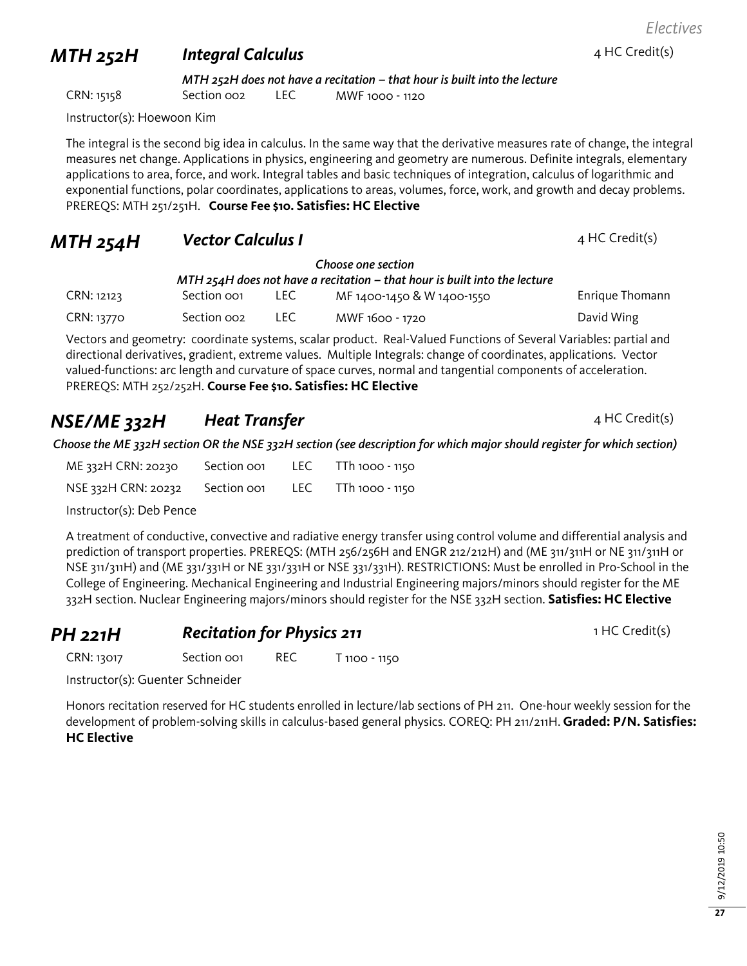# *MTH 252H Integral Calculus*

*MTH 252H does not have a recitation – that hour is built into the lecture* CRN: 15158 Section 002 LEC MWF 1000 - 1120

Instructor(s): Hoewoon Kim

The integral is the second big idea in calculus. In the same way that the derivative measures rate of change, the integral measures net change. Applications in physics, engineering and geometry are numerous. Definite integrals, elementary applications to area, force, and work. Integral tables and basic techniques of integration, calculus of logarithmic and exponential functions, polar coordinates, applications to areas, volumes, force, work, and growth and decay problems. PREREQS: MTH 251/251H. **Course Fee \$10. Satisfies: HC Elective**

#### **MTH 254H Vector Calculus I Additional Additional AMTH 254HC** Credit(s)

*Choose one section*

| MTH 254H does not have a recitation – that hour is built into the lecture |                         |       |                            |                 |
|---------------------------------------------------------------------------|-------------------------|-------|----------------------------|-----------------|
| CRN: 12123                                                                | Section oo              | LEC . | MF 1400-1450 & W 1400-1550 | Enrique Thomann |
| CRN: 13770                                                                | Section oo <sub>2</sub> | LEC - | MWF 1600 - 1720            | David Wing      |

Vectors and geometry: coordinate systems, scalar product. Real-Valued Functions of Several Variables: partial and directional derivatives, gradient, extreme values. Multiple Integrals: change of coordinates, applications. Vector valued-functions: arc length and curvature of space curves, normal and tangential components of acceleration. PREREQS: MTH 252/252H. **Course Fee \$10. Satisfies: HC Elective**

## *NSE/ME 332H Heat Transfer* <sup>4</sup> HC Credit(s)

*Choose the ME 332H section OR the NSE 332H section (see description for which major should register for which section)*

| ME 332H CRN: 20230  | Section oo1 | LEC. | TTh 1000 - 1150 |
|---------------------|-------------|------|-----------------|
| NSE 332H CRN: 20232 | Section oo1 | LEC. | TTh 1000 - 1150 |

Instructor(s): Deb Pence

A treatment of conductive, convective and radiative energy transfer using control volume and differential analysis and prediction of transport properties. PREREQS: (MTH 256/256H and ENGR 212/212H) and (ME 311/311H or NE 311/311H or NSE 311/311H) and (ME 331/331H or NE 331/331H or NSE 331/331H). RESTRICTIONS: Must be enrolled in Pro-School in the College of Engineering. Mechanical Engineering and Industrial Engineering majors/minors should register for the ME 332H section. Nuclear Engineering majors/minors should register for the NSE 332H section. **Satisfies: HC Elective**

#### **PH 221H Recitation for Physics 211 PH 221H 1 HC Credit(s)**

CRN: 13017 Section 001 REC T 1100 - 1150

Instructor(s): Guenter Schneider

Honors recitation reserved for HC students enrolled in lecture/lab sections of PH 211. One-hour weekly session for the development of problem-solving skills in calculus-based general physics. COREQ: PH 211/211H. **Graded: P/N. Satisfies: HC Elective**

**27**

#### 4 HC Credit(s)

*Electives*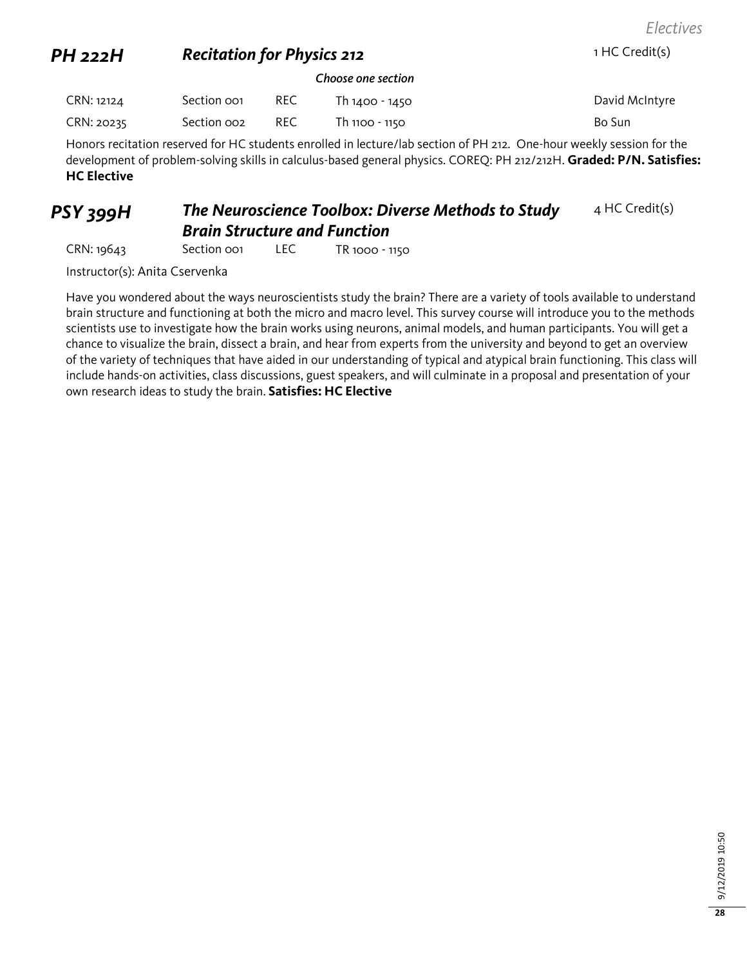*Electives*

#### **PH 222H Recitation for Physics 212** 1 HC Credit(s)

#### *Choose one section*

| CRN: 12124 | Section oo1 | <b>REC</b> | Th 1400 - 1450 | David McIntyre |
|------------|-------------|------------|----------------|----------------|
| CRN: 20235 | Section 002 | REC        | Th 1100 - 1150 | Bo Sun         |

Honors recitation reserved for HC students enrolled in lecture/lab section of PH 212. One-hour weekly session for the development of problem-solving skills in calculus-based general physics. COREQ: PH 212/212H. **Graded: P/N. Satisfies: HC Elective**

#### *PSY 399H The Neuroscience Toolbox: Diverse Methods to Study Brain Structure and Function* 4 HC Credit(s)

CRN: 19643 Section 001 LEC TR 1000 - 1150

Instructor(s): Anita Cservenka

Have you wondered about the ways neuroscientists study the brain? There are a variety of tools available to understand brain structure and functioning at both the micro and macro level. This survey course will introduce you to the methods scientists use to investigate how the brain works using neurons, animal models, and human participants. You will get a chance to visualize the brain, dissect a brain, and hear from experts from the university and beyond to get an overview of the variety of techniques that have aided in our understanding of typical and atypical brain functioning. This class will include hands-on activities, class discussions, guest speakers, and will culminate in a proposal and presentation of your own research ideas to study the brain. **Satisfies: HC Elective**